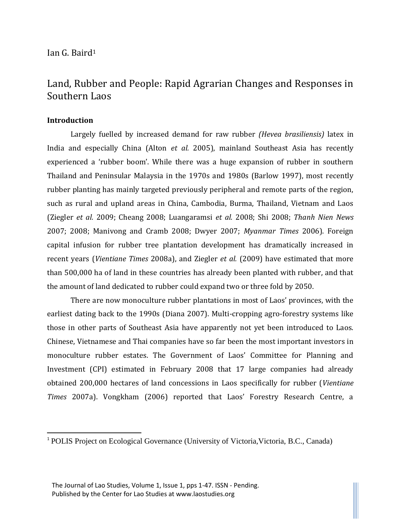# Ian G. Baird<sup>1</sup>

# Land, Rubber and People: Rapid Agrarian Changes and Responses in Southern Laos

# **Introduction**

l

Largely fuelled by increased demand for raw rubber *(Hevea brasiliensis)* latex in India and especially China (Alton *et al.* 2005), mainland Southeast Asia has recently experienced a 'rubber boom'. While there was a huge expansion of rubber in southern Thailand and Peninsular Malaysia in the 1970s and 1980s (Barlow 1997), most recently rubber planting has mainly targeted previously peripheral and remote parts of the region, such as rural and upland areas in China, Cambodia, Burma, Thailand, Vietnam and Laos (Ziegler *et al.* 2009; Cheang 2008; Luangaramsi *et al.* 2008; Shi 2008; *Thanh Nien News*  2007; 2008; Manivong and Cramb 2008; Dwyer 2007; *Myanmar Times* 2006). Foreign capital infusion for rubber tree plantation development has dramatically increased in recent years (*Vientiane Times* 2008a), and Ziegler *et al.* (2009) have estimated that more than 500,000 ha of land in these countries has already been planted with rubber, and that the amount of land dedicated to rubber could expand two or three fold by 2050.

There are now monoculture rubber plantations in most of Laos' provinces, with the earliest dating back to the 1990s (Diana 2007). Multi-cropping agro-forestry systems like those in other parts of Southeast Asia have apparently not yet been introduced to Laos. Chinese, Vietnamese and Thai companies have so far been the most important investors in monoculture rubber estates. The Government of Laos' Committee for Planning and Investment (CPI) estimated in February 2008 that 17 large companies had already obtained 200,000 hectares of land concessions in Laos specifically for rubber (*Vientiane Times* 2007a). Vongkham (2006) reported that Laos' Forestry Research Centre, a

<sup>&</sup>lt;sup>1</sup> POLIS Project on Ecological Governance (University of Victoria, Victoria, B.C., Canada)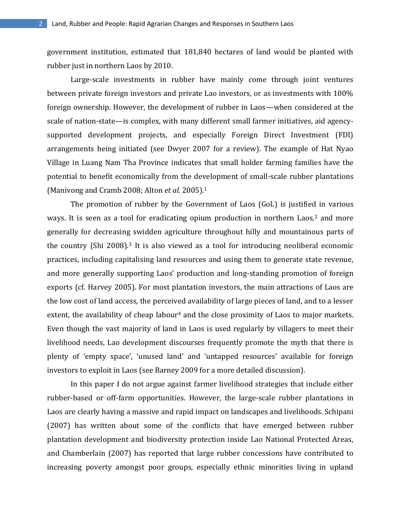government institution, estimated that 181,840 hectares of land would be planted with rubber just in northern Laos by 2010.

Large-scale investments in rubber have mainly come through joint ventures between private foreign investors and private Lao investors, or as investments with 100% foreign ownership. However, the development of rubber in Laos—when considered at the scale of nation-state—is complex, with many different small farmer initiatives, aid agencysupported development projects, and especially Foreign Direct Investment (FDI) arrangements being initiated (see Dwyer 2007 for a review). The example of Hat Nyao Village in Luang Nam Tha Province indicates that small holder farming families have the potential to benefit economically from the development of small-scale rubber plantations (Manivong and Cramb 2008; Alton *et al.* 2005).<sup>1</sup>

The promotion of rubber by the Government of Laos (GoL) is justified in various ways. It is seen as a tool for eradicating opium production in northern Laos, $2$  and more generally for decreasing swidden agriculture throughout hilly and mountainous parts of the country (Shi 2008).<sup>3</sup> It is also viewed as a tool for introducing neoliberal economic practices, including capitalising land resources and using them to generate state revenue, and more generally supporting Laos' production and long-standing promotion of foreign exports (cf. Harvey 2005). For most plantation investors, the main attractions of Laos are the low cost of land access, the perceived availability of large pieces of land, and to a lesser extent, the availability of cheap labour<sup>4</sup> and the close proximity of Laos to major markets. Even though the vast majority of land in Laos is used regularly by villagers to meet their livelihood needs, Lao development discourses frequently promote the myth that there is plenty of 'empty space', 'unused land' and 'untapped resources' available for foreign investors to exploit in Laos (see Barney 2009 for a more detailed discussion).

In this paper I do not argue against farmer livelihood strategies that include either rubber-based or off-farm opportunities. However, the large-scale rubber plantations in Laos are clearly having a massive and rapid impact on landscapes and livelihoods. Schipani (2007) has written about some of the conflicts that have emerged between rubber plantation development and biodiversity protection inside Lao National Protected Areas, and Chamberlain (2007) has reported that large rubber concessions have contributed to increasing poverty amongst poor groups, especially ethnic minorities living in upland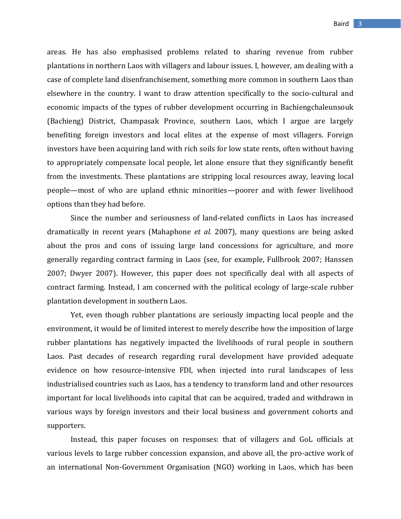areas. He has also emphasised problems related to sharing revenue from rubber plantations in northern Laos with villagers and labour issues. I, however, am dealing with a case of complete land disenfranchisement, something more common in southern Laos than elsewhere in the country. I want to draw attention specifically to the socio-cultural and economic impacts of the types of rubber development occurring in Bachiengchaleunsouk (Bachieng) District, Champasak Province, southern Laos, which I argue are largely benefiting foreign investors and local elites at the expense of most villagers. Foreign investors have been acquiring land with rich soils for low state rents, often without having to appropriately compensate local people, let alone ensure that they significantly benefit from the investments. These plantations are stripping local resources away, leaving local people—most of who are upland ethnic minorities—poorer and with fewer livelihood options than they had before.

Since the number and seriousness of land-related conflicts in Laos has increased dramatically in recent years (Mahaphone *et al.* 2007), many questions are being asked about the pros and cons of issuing large land concessions for agriculture, and more generally regarding contract farming in Laos (see, for example, Fullbrook 2007; Hanssen 2007; Dwyer 2007). However, this paper does not specifically deal with all aspects of contract farming. Instead, I am concerned with the political ecology of large-scale rubber plantation development in southern Laos.

Yet, even though rubber plantations are seriously impacting local people and the environment, it would be of limited interest to merely describe how the imposition of large rubber plantations has negatively impacted the livelihoods of rural people in southern Laos. Past decades of research regarding rural development have provided adequate evidence on how resource-intensive FDI, when injected into rural landscapes of less industrialised countries such as Laos, has a tendency to transform land and other resources important for local livelihoods into capital that can be acquired, traded and withdrawn in various ways by foreign investors and their local business and government cohorts and supporters.

Instead, this paper focuses on responses: that of villagers and GoL officials at various levels to large rubber concession expansion, and above all, the pro-active work of an international Non-Government Organisation (NGO) working in Laos, which has been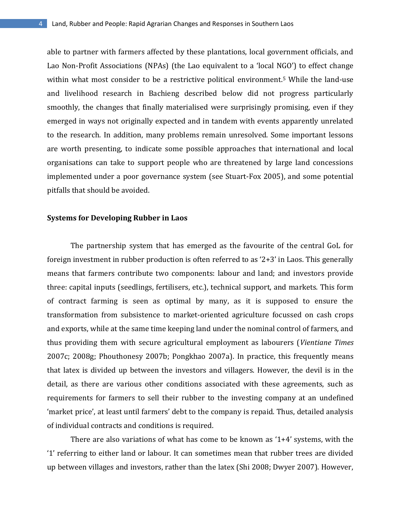able to partner with farmers affected by these plantations, local government officials, and Lao Non-Profit Associations (NPAs) (the Lao equivalent to a 'local NGO') to effect change within what most consider to be a restrictive political environment.<sup>5</sup> While the land-use and livelihood research in Bachieng described below did not progress particularly smoothly, the changes that finally materialised were surprisingly promising, even if they emerged in ways not originally expected and in tandem with events apparently unrelated to the research. In addition, many problems remain unresolved. Some important lessons are worth presenting, to indicate some possible approaches that international and local organisations can take to support people who are threatened by large land concessions implemented under a poor governance system (see Stuart-Fox 2005), and some potential pitfalls that should be avoided.

#### **Systems for Developing Rubber in Laos**

The partnership system that has emerged as the favourite of the central GoL for foreign investment in rubber production is often referred to as '2+3' in Laos. This generally means that farmers contribute two components: labour and land; and investors provide three: capital inputs (seedlings, fertilisers, etc.), technical support, and markets. This form of contract farming is seen as optimal by many, as it is supposed to ensure the transformation from subsistence to market-oriented agriculture focussed on cash crops and exports, while at the same time keeping land under the nominal control of farmers, and thus providing them with secure agricultural employment as labourers (*Vientiane Times* 2007c; 2008g; Phouthonesy 2007b; Pongkhao 2007a). In practice, this frequently means that latex is divided up between the investors and villagers. However, the devil is in the detail, as there are various other conditions associated with these agreements, such as requirements for farmers to sell their rubber to the investing company at an undefined 'market price', at least until farmers' debt to the company is repaid. Thus, detailed analysis of individual contracts and conditions is required.

There are also variations of what has come to be known as '1+4' systems, with the '1' referring to either land or labour. It can sometimes mean that rubber trees are divided up between villages and investors, rather than the latex (Shi 2008; Dwyer 2007). However,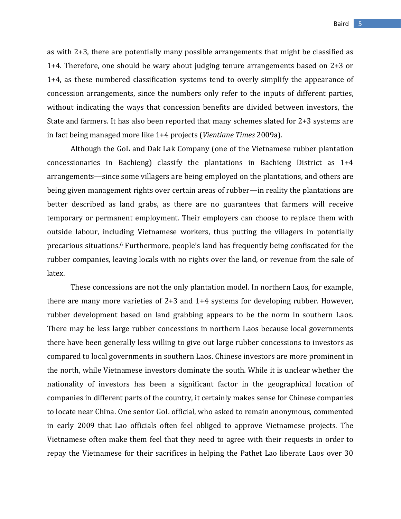as with 2+3, there are potentially many possible arrangements that might be classified as 1+4. Therefore, one should be wary about judging tenure arrangements based on 2+3 or 1+4, as these numbered classification systems tend to overly simplify the appearance of concession arrangements, since the numbers only refer to the inputs of different parties, without indicating the ways that concession benefits are divided between investors, the State and farmers. It has also been reported that many schemes slated for 2+3 systems are in fact being managed more like 1+4 projects (*Vientiane Times* 2009a).

Although the GoL and Dak Lak Company (one of the Vietnamese rubber plantation concessionaries in Bachieng) classify the plantations in Bachieng District as 1+4 arrangements—since some villagers are being employed on the plantations, and others are being given management rights over certain areas of rubber—in reality the plantations are better described as land grabs, as there are no guarantees that farmers will receive temporary or permanent employment. Their employers can choose to replace them with outside labour, including Vietnamese workers, thus putting the villagers in potentially precarious situations.<sup>6</sup> Furthermore, people's land has frequently being confiscated for the rubber companies, leaving locals with no rights over the land, or revenue from the sale of latex.

These concessions are not the only plantation model. In northern Laos, for example, there are many more varieties of 2+3 and 1+4 systems for developing rubber. However, rubber development based on land grabbing appears to be the norm in southern Laos. There may be less large rubber concessions in northern Laos because local governments there have been generally less willing to give out large rubber concessions to investors as compared to local governments in southern Laos. Chinese investors are more prominent in the north, while Vietnamese investors dominate the south. While it is unclear whether the nationality of investors has been a significant factor in the geographical location of companies in different parts of the country, it certainly makes sense for Chinese companies to locate near China. One senior GoL official, who asked to remain anonymous, commented in early 2009 that Lao officials often feel obliged to approve Vietnamese projects. The Vietnamese often make them feel that they need to agree with their requests in order to repay the Vietnamese for their sacrifices in helping the Pathet Lao liberate Laos over 30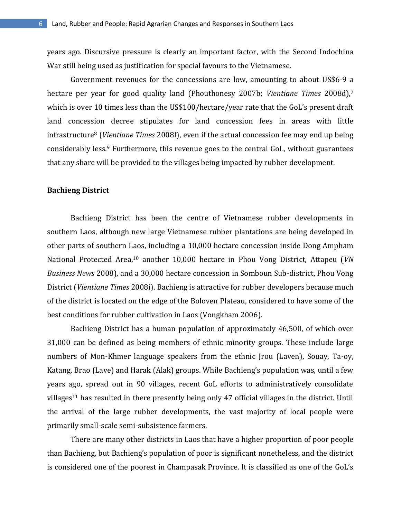years ago. Discursive pressure is clearly an important factor, with the Second Indochina War still being used as justification for special favours to the Vietnamese.

Government revenues for the concessions are low, amounting to about US\$6-9 a hectare per year for good quality land (Phouthonesy 2007b; *Vientiane Times* 2008d),<sup>7</sup> which is over 10 times less than the US\$100/hectare/year rate that the GoL's present draft land concession decree stipulates for land concession fees in areas with little infrastructure<sup>8</sup> (*Vientiane Times* 2008f), even if the actual concession fee may end up being considerably less.<sup>9</sup> Furthermore, this revenue goes to the central GoL, without guarantees that any share will be provided to the villages being impacted by rubber development.

#### **Bachieng District**

Bachieng District has been the centre of Vietnamese rubber developments in southern Laos, although new large Vietnamese rubber plantations are being developed in other parts of southern Laos, including a 10,000 hectare concession inside Dong Ampham National Protected Area,<sup>10</sup> another 10,000 hectare in Phou Vong District, Attapeu (*VN Business News* 2008), and a 30,000 hectare concession in Somboun Sub-district, Phou Vong District (*Vientiane Times* 2008i). Bachieng is attractive for rubber developers because much of the district is located on the edge of the Boloven Plateau, considered to have some of the best conditions for rubber cultivation in Laos (Vongkham 2006).

Bachieng District has a human population of approximately 46,500, of which over 31,000 can be defined as being members of ethnic minority groups. These include large numbers of Mon-Khmer language speakers from the ethnic Jrou (Laven), Souay, Ta-oy, Katang, Brao (Lave) and Harak (Alak) groups. While Bachieng's population was, until a few years ago, spread out in 90 villages, recent GoL efforts to administratively consolidate villages<sup>11</sup> has resulted in there presently being only 47 official villages in the district. Until the arrival of the large rubber developments, the vast majority of local people were primarily small-scale semi-subsistence farmers.

There are many other districts in Laos that have a higher proportion of poor people than Bachieng, but Bachieng's population of poor is significant nonetheless, and the district is considered one of the poorest in Champasak Province. It is classified as one of the GoL's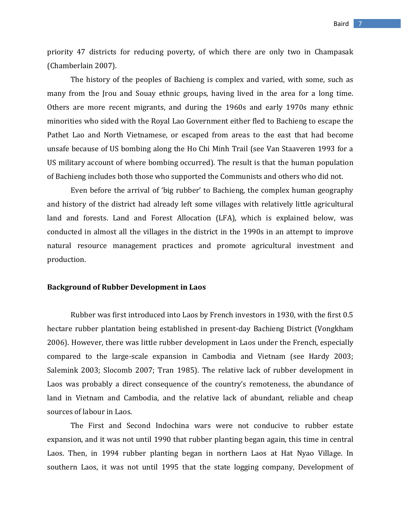priority 47 districts for reducing poverty, of which there are only two in Champasak (Chamberlain 2007).

The history of the peoples of Bachieng is complex and varied, with some, such as many from the Jrou and Souay ethnic groups, having lived in the area for a long time. Others are more recent migrants, and during the 1960s and early 1970s many ethnic minorities who sided with the Royal Lao Government either fled to Bachieng to escape the Pathet Lao and North Vietnamese, or escaped from areas to the east that had become unsafe because of US bombing along the Ho Chi Minh Trail (see Van Staaveren 1993 for a US military account of where bombing occurred). The result is that the human population of Bachieng includes both those who supported the Communists and others who did not.

Even before the arrival of 'big rubber' to Bachieng, the complex human geography and history of the district had already left some villages with relatively little agricultural land and forests. Land and Forest Allocation (LFA), which is explained below, was conducted in almost all the villages in the district in the 1990s in an attempt to improve natural resource management practices and promote agricultural investment and production.

#### **Background of Rubber Development in Laos**

Rubber was first introduced into Laos by French investors in 1930, with the first 0.5 hectare rubber plantation being established in present-day Bachieng District (Vongkham 2006). However, there was little rubber development in Laos under the French, especially compared to the large-scale expansion in Cambodia and Vietnam (see Hardy 2003; Salemink 2003; Slocomb 2007; Tran 1985). The relative lack of rubber development in Laos was probably a direct consequence of the country's remoteness, the abundance of land in Vietnam and Cambodia, and the relative lack of abundant, reliable and cheap sources of labour in Laos.

The First and Second Indochina wars were not conducive to rubber estate expansion, and it was not until 1990 that rubber planting began again, this time in central Laos. Then, in 1994 rubber planting began in northern Laos at Hat Nyao Village. In southern Laos, it was not until 1995 that the state logging company, Development of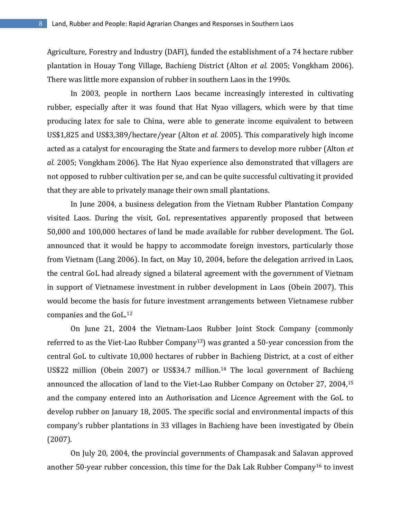Agriculture, Forestry and Industry (DAFI), funded the establishment of a 74 hectare rubber plantation in Houay Tong Village, Bachieng District (Alton *et al.* 2005; Vongkham 2006). There was little more expansion of rubber in southern Laos in the 1990s.

In 2003, people in northern Laos became increasingly interested in cultivating rubber, especially after it was found that Hat Nyao villagers, which were by that time producing latex for sale to China, were able to generate income equivalent to between US\$1,825 and US\$3,389/hectare/year (Alton *et al.* 2005). This comparatively high income acted as a catalyst for encouraging the State and farmers to develop more rubber (Alton *et al.* 2005; Vongkham 2006). The Hat Nyao experience also demonstrated that villagers are not opposed to rubber cultivation per se, and can be quite successful cultivating it provided that they are able to privately manage their own small plantations.

In June 2004, a business delegation from the Vietnam Rubber Plantation Company visited Laos. During the visit, GoL representatives apparently proposed that between 50,000 and 100,000 hectares of land be made available for rubber development. The GoL announced that it would be happy to accommodate foreign investors, particularly those from Vietnam (Lang 2006). In fact, on May 10, 2004, before the delegation arrived in Laos, the central GoL had already signed a bilateral agreement with the government of Vietnam in support of Vietnamese investment in rubber development in Laos (Obein 2007). This would become the basis for future investment arrangements between Vietnamese rubber companies and the GoL.<sup>12</sup>

On June 21, 2004 the Vietnam-Laos Rubber Joint Stock Company (commonly referred to as the Viet-Lao Rubber Company13) was granted a 50-year concession from the central GoL to cultivate 10,000 hectares of rubber in Bachieng District, at a cost of either US\$22 million (Obein 2007) or US\$34.7 million.<sup>14</sup> The local government of Bachieng announced the allocation of land to the Viet-Lao Rubber Company on October 27, 2004, 15 and the company entered into an Authorisation and Licence Agreement with the GoL to develop rubber on January 18, 2005. The specific social and environmental impacts of this company's rubber plantations in 33 villages in Bachieng have been investigated by Obein (2007).

On July 20, 2004, the provincial governments of Champasak and Salavan approved another 50-year rubber concession, this time for the Dak Lak Rubber Company<sup>16</sup> to invest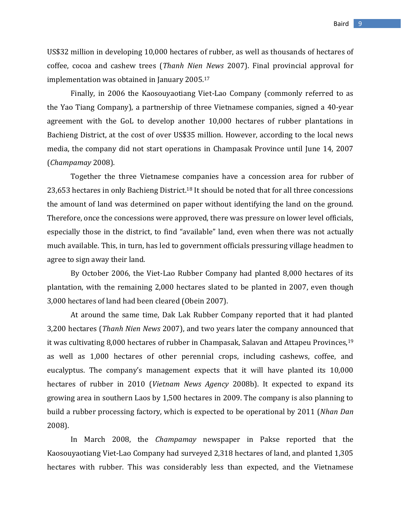US\$32 million in developing 10,000 hectares of rubber, as well as thousands of hectares of coffee, cocoa and cashew trees (*Thanh Nien News* 2007). Final provincial approval for implementation was obtained in January 2005.<sup>17</sup>

Finally, in 2006 the Kaosouyaotiang Viet-Lao Company (commonly referred to as the Yao Tiang Company), a partnership of three Vietnamese companies, signed a 40-year agreement with the GoL to develop another 10,000 hectares of rubber plantations in Bachieng District, at the cost of over US\$35 million. However, according to the local news media, the company did not start operations in Champasak Province until June 14, 2007 (*Champamay* 2008).

Together the three Vietnamese companies have a concession area for rubber of 23,653 hectares in only Bachieng District.<sup>18</sup> It should be noted that for all three concessions the amount of land was determined on paper without identifying the land on the ground. Therefore, once the concessions were approved, there was pressure on lower level officials, especially those in the district, to find "available" land, even when there was not actually much available. This, in turn, has led to government officials pressuring village headmen to agree to sign away their land.

By October 2006, the Viet-Lao Rubber Company had planted 8,000 hectares of its plantation, with the remaining 2,000 hectares slated to be planted in 2007, even though 3,000 hectares of land had been cleared (Obein 2007).

At around the same time, Dak Lak Rubber Company reported that it had planted 3,200 hectares (*Thanh Nien News* 2007), and two years later the company announced that it was cultivating 8,000 hectares of rubber in Champasak, Salavan and Attapeu Provinces,<sup>19</sup> as well as 1,000 hectares of other perennial crops, including cashews, coffee, and eucalyptus. The company's management expects that it will have planted its 10,000 hectares of rubber in 2010 (*Vietnam News Agency* 2008b). It expected to expand its growing area in southern Laos by 1,500 hectares in 2009. The company is also planning to build a rubber processing factory, which is expected to be operational by 2011 (*Nhan Dan* 2008).

In March 2008, the *Champamay* newspaper in Pakse reported that the Kaosouyaotiang Viet-Lao Company had surveyed 2,318 hectares of land, and planted 1,305 hectares with rubber. This was considerably less than expected, and the Vietnamese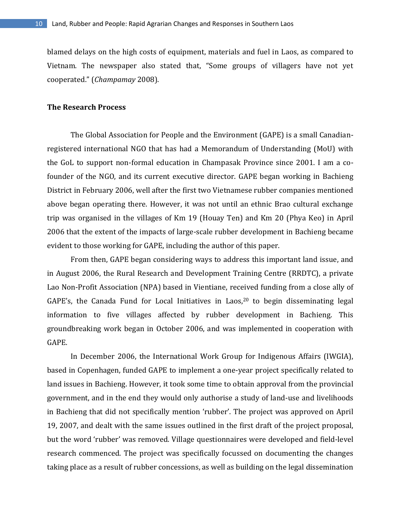blamed delays on the high costs of equipment, materials and fuel in Laos, as compared to Vietnam. The newspaper also stated that, "Some groups of villagers have not yet cooperated." (*Champamay* 2008).

#### **The Research Process**

The Global Association for People and the Environment (GAPE) is a small Canadianregistered international NGO that has had a Memorandum of Understanding (MoU) with the GoL to support non-formal education in Champasak Province since 2001. I am a cofounder of the NGO, and its current executive director. GAPE began working in Bachieng District in February 2006, well after the first two Vietnamese rubber companies mentioned above began operating there. However, it was not until an ethnic Brao cultural exchange trip was organised in the villages of Km 19 (Houay Ten) and Km 20 (Phya Keo) in April 2006 that the extent of the impacts of large-scale rubber development in Bachieng became evident to those working for GAPE, including the author of this paper.

From then, GAPE began considering ways to address this important land issue, and in August 2006, the Rural Research and Development Training Centre (RRDTC), a private Lao Non-Profit Association (NPA) based in Vientiane, received funding from a close ally of GAPE's, the Canada Fund for Local Initiatives in Laos, $20$  to begin disseminating legal information to five villages affected by rubber development in Bachieng. This groundbreaking work began in October 2006, and was implemented in cooperation with GAPE.

In December 2006, the International Work Group for Indigenous Affairs (IWGIA), based in Copenhagen, funded GAPE to implement a one-year project specifically related to land issues in Bachieng. However, it took some time to obtain approval from the provincial government, and in the end they would only authorise a study of land-use and livelihoods in Bachieng that did not specifically mention 'rubber'. The project was approved on April 19, 2007, and dealt with the same issues outlined in the first draft of the project proposal, but the word 'rubber' was removed. Village questionnaires were developed and field-level research commenced. The project was specifically focussed on documenting the changes taking place as a result of rubber concessions, as well as building on the legal dissemination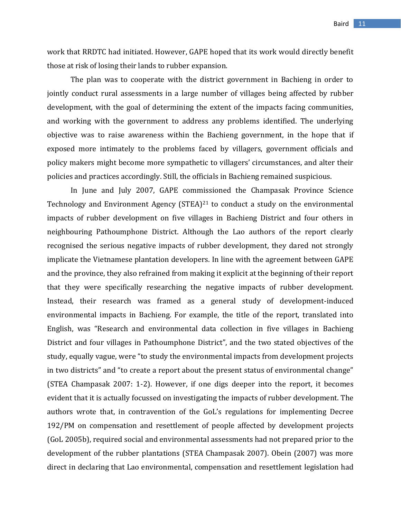work that RRDTC had initiated. However, GAPE hoped that its work would directly benefit those at risk of losing their lands to rubber expansion.

The plan was to cooperate with the district government in Bachieng in order to jointly conduct rural assessments in a large number of villages being affected by rubber development, with the goal of determining the extent of the impacts facing communities, and working with the government to address any problems identified. The underlying objective was to raise awareness within the Bachieng government, in the hope that if exposed more intimately to the problems faced by villagers, government officials and policy makers might become more sympathetic to villagers' circumstances, and alter their policies and practices accordingly. Still, the officials in Bachieng remained suspicious.

In June and July 2007, GAPE commissioned the Champasak Province Science Technology and Environment Agency (STEA)<sup>21</sup> to conduct a study on the environmental impacts of rubber development on five villages in Bachieng District and four others in neighbouring Pathoumphone District. Although the Lao authors of the report clearly recognised the serious negative impacts of rubber development, they dared not strongly implicate the Vietnamese plantation developers. In line with the agreement between GAPE and the province, they also refrained from making it explicit at the beginning of their report that they were specifically researching the negative impacts of rubber development. Instead, their research was framed as a general study of development-induced environmental impacts in Bachieng. For example, the title of the report, translated into English, was "Research and environmental data collection in five villages in Bachieng District and four villages in Pathoumphone District", and the two stated objectives of the study, equally vague, were "to study the environmental impacts from development projects in two districts" and "to create a report about the present status of environmental change" (STEA Champasak 2007: 1-2). However, if one digs deeper into the report, it becomes evident that it is actually focussed on investigating the impacts of rubber development. The authors wrote that, in contravention of the GoL's regulations for implementing Decree 192/PM on compensation and resettlement of people affected by development projects (GoL 2005b), required social and environmental assessments had not prepared prior to the development of the rubber plantations (STEA Champasak 2007). Obein (2007) was more direct in declaring that Lao environmental, compensation and resettlement legislation had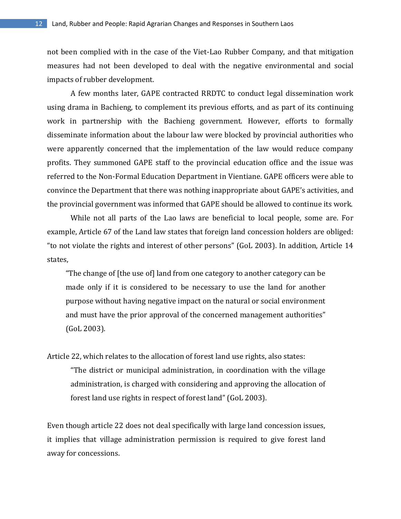not been complied with in the case of the Viet-Lao Rubber Company, and that mitigation measures had not been developed to deal with the negative environmental and social impacts of rubber development.

A few months later, GAPE contracted RRDTC to conduct legal dissemination work using drama in Bachieng, to complement its previous efforts, and as part of its continuing work in partnership with the Bachieng government. However, efforts to formally disseminate information about the labour law were blocked by provincial authorities who were apparently concerned that the implementation of the law would reduce company profits. They summoned GAPE staff to the provincial education office and the issue was referred to the Non-Formal Education Department in Vientiane. GAPE officers were able to convince the Department that there was nothing inappropriate about GAPE's activities, and the provincial government was informed that GAPE should be allowed to continue its work.

While not all parts of the Lao laws are beneficial to local people, some are. For example, Article 67 of the Land law states that foreign land concession holders are obliged: "to not violate the rights and interest of other persons" (GoL 2003). In addition, Article 14 states,

"The change of [the use of] land from one category to another category can be made only if it is considered to be necessary to use the land for another purpose without having negative impact on the natural or social environment and must have the prior approval of the concerned management authorities" (GoL 2003).

Article 22, which relates to the allocation of forest land use rights, also states: "The district or municipal administration, in coordination with the village administration, is charged with considering and approving the allocation of forest land use rights in respect of forest land" (GoL 2003).

Even though article 22 does not deal specifically with large land concession issues, it implies that village administration permission is required to give forest land away for concessions.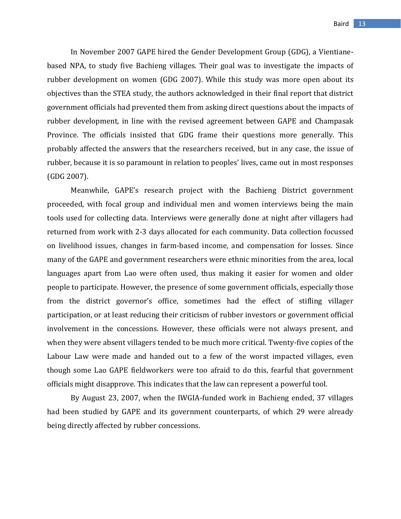In November 2007 GAPE hired the Gender Development Group (GDG), a Vientianebased NPA, to study five Bachieng villages. Their goal was to investigate the impacts of rubber development on women (GDG 2007). While this study was more open about its objectives than the STEA study, the authors acknowledged in their final report that district government officials had prevented them from asking direct questions about the impacts of rubber development, in line with the revised agreement between GAPE and Champasak Province. The officials insisted that GDG frame their questions more generally. This probably affected the answers that the researchers received, but in any case, the issue of rubber, because it is so paramount in relation to peoples' lives, came out in most responses (GDG 2007).

Meanwhile, GAPE's research project with the Bachieng District government proceeded, with focal group and individual men and women interviews being the main tools used for collecting data. Interviews were generally done at night after villagers had returned from work with 2-3 days allocated for each community. Data collection focussed on livelihood issues, changes in farm-based income, and compensation for losses. Since many of the GAPE and government researchers were ethnic minorities from the area, local languages apart from Lao were often used, thus making it easier for women and older people to participate. However, the presence of some government officials, especially those from the district governor's office, sometimes had the effect of stifling villager participation, or at least reducing their criticism of rubber investors or government official involvement in the concessions. However, these officials were not always present, and when they were absent villagers tended to be much more critical. Twenty-five copies of the Labour Law were made and handed out to a few of the worst impacted villages, even though some Lao GAPE fieldworkers were too afraid to do this, fearful that government officials might disapprove. This indicates that the law can represent a powerful tool.

By August 23, 2007, when the IWGIA-funded work in Bachieng ended, 37 villages had been studied by GAPE and its government counterparts, of which 29 were already being directly affected by rubber concessions.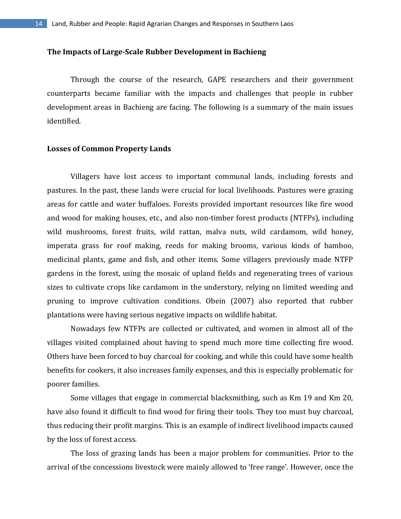#### **The Impacts of Large-Scale Rubber Development in Bachieng**

Through the course of the research, GAPE researchers and their government counterparts became familiar with the impacts and challenges that people in rubber development areas in Bachieng are facing. The following is a summary of the main issues identified.

#### **Losses of Common Property Lands**

Villagers have lost access to important communal lands, including forests and pastures. In the past, these lands were crucial for local livelihoods. Pastures were grazing areas for cattle and water buffaloes. Forests provided important resources like fire wood and wood for making houses, etc., and also non-timber forest products (NTFPs), including wild mushrooms, forest fruits, wild rattan, malva nuts, wild cardamom, wild honey, imperata grass for roof making, reeds for making brooms, various kinds of bamboo, medicinal plants, game and fish, and other items. Some villagers previously made NTFP gardens in the forest, using the mosaic of upland fields and regenerating trees of various sizes to cultivate crops like cardamom in the understory, relying on limited weeding and pruning to improve cultivation conditions. Obein (2007) also reported that rubber plantations were having serious negative impacts on wildlife habitat.

Nowadays few NTFPs are collected or cultivated, and women in almost all of the villages visited complained about having to spend much more time collecting fire wood. Others have been forced to buy charcoal for cooking, and while this could have some health benefits for cookers, it also increases family expenses, and this is especially problematic for poorer families.

Some villages that engage in commercial blacksmithing, such as Km 19 and Km 20, have also found it difficult to find wood for firing their tools. They too must buy charcoal, thus reducing their profit margins. This is an example of indirect livelihood impacts caused by the loss of forest access.

The loss of grazing lands has been a major problem for communities. Prior to the arrival of the concessions livestock were mainly allowed to 'free range'. However, once the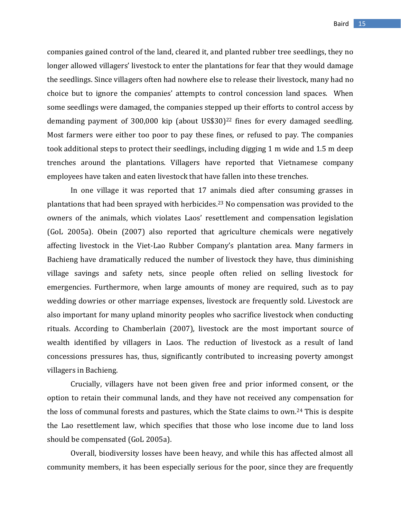companies gained control of the land, cleared it, and planted rubber tree seedlings, they no longer allowed villagers' livestock to enter the plantations for fear that they would damage the seedlings. Since villagers often had nowhere else to release their livestock, many had no choice but to ignore the companies' attempts to control concession land spaces. When some seedlings were damaged, the companies stepped up their efforts to control access by demanding payment of 300,000 kip (about US\$30)<sup>22</sup> fines for every damaged seedling. Most farmers were either too poor to pay these fines, or refused to pay. The companies took additional steps to protect their seedlings, including digging 1 m wide and 1.5 m deep trenches around the plantations. Villagers have reported that Vietnamese company employees have taken and eaten livestock that have fallen into these trenches.

In one village it was reported that 17 animals died after consuming grasses in plantations that had been sprayed with herbicides.<sup>23</sup> No compensation was provided to the owners of the animals, which violates Laos' resettlement and compensation legislation (GoL 2005a). Obein (2007) also reported that agriculture chemicals were negatively affecting livestock in the Viet-Lao Rubber Company's plantation area. Many farmers in Bachieng have dramatically reduced the number of livestock they have, thus diminishing village savings and safety nets, since people often relied on selling livestock for emergencies. Furthermore, when large amounts of money are required, such as to pay wedding dowries or other marriage expenses, livestock are frequently sold. Livestock are also important for many upland minority peoples who sacrifice livestock when conducting rituals. According to Chamberlain (2007), livestock are the most important source of wealth identified by villagers in Laos. The reduction of livestock as a result of land concessions pressures has, thus, significantly contributed to increasing poverty amongst villagers in Bachieng.

Crucially, villagers have not been given free and prior informed consent, or the option to retain their communal lands, and they have not received any compensation for the loss of communal forests and pastures, which the State claims to own.<sup>24</sup> This is despite the Lao resettlement law, which specifies that those who lose income due to land loss should be compensated (GoL 2005a).

Overall, biodiversity losses have been heavy, and while this has affected almost all community members, it has been especially serious for the poor, since they are frequently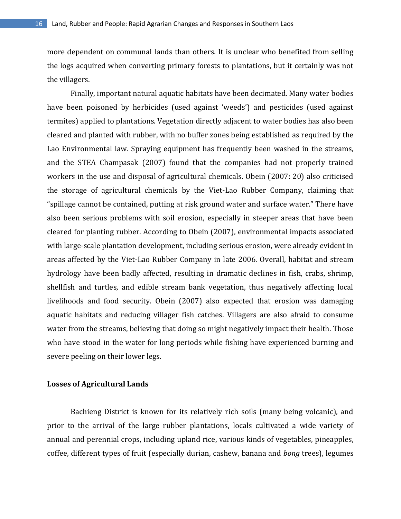more dependent on communal lands than others. It is unclear who benefited from selling the logs acquired when converting primary forests to plantations, but it certainly was not the villagers.

Finally, important natural aquatic habitats have been decimated. Many water bodies have been poisoned by herbicides (used against 'weeds') and pesticides (used against termites) applied to plantations. Vegetation directly adjacent to water bodies has also been cleared and planted with rubber, with no buffer zones being established as required by the Lao Environmental law. Spraying equipment has frequently been washed in the streams, and the STEA Champasak (2007) found that the companies had not properly trained workers in the use and disposal of agricultural chemicals. Obein (2007: 20) also criticised the storage of agricultural chemicals by the Viet-Lao Rubber Company, claiming that "spillage cannot be contained, putting at risk ground water and surface water." There have also been serious problems with soil erosion, especially in steeper areas that have been cleared for planting rubber. According to Obein (2007), environmental impacts associated with large-scale plantation development, including serious erosion, were already evident in areas affected by the Viet-Lao Rubber Company in late 2006. Overall, habitat and stream hydrology have been badly affected, resulting in dramatic declines in fish, crabs, shrimp, shellfish and turtles, and edible stream bank vegetation, thus negatively affecting local livelihoods and food security. Obein (2007) also expected that erosion was damaging aquatic habitats and reducing villager fish catches. Villagers are also afraid to consume water from the streams, believing that doing so might negatively impact their health. Those who have stood in the water for long periods while fishing have experienced burning and severe peeling on their lower legs.

# **Losses of Agricultural Lands**

Bachieng District is known for its relatively rich soils (many being volcanic), and prior to the arrival of the large rubber plantations, locals cultivated a wide variety of annual and perennial crops, including upland rice, various kinds of vegetables, pineapples, coffee, different types of fruit (especially durian, cashew, banana and *bong* trees), legumes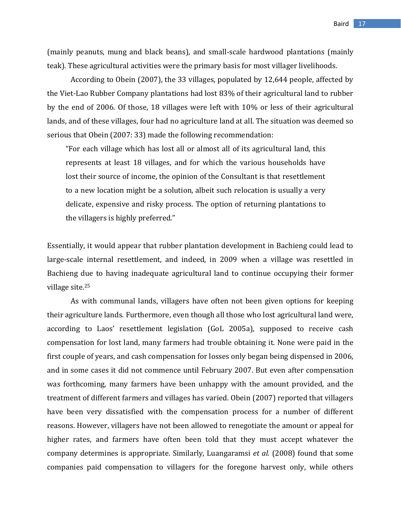(mainly peanuts, mung and black beans), and small-scale hardwood plantations (mainly teak). These agricultural activities were the primary basis for most villager livelihoods.

According to Obein (2007), the 33 villages, populated by 12,644 people, affected by the Viet-Lao Rubber Company plantations had lost 83% of their agricultural land to rubber by the end of 2006. Of those, 18 villages were left with 10% or less of their agricultural lands, and of these villages, four had no agriculture land at all. The situation was deemed so serious that Obein (2007: 33) made the following recommendation:

"For each village which has lost all or almost all of its agricultural land, this represents at least 18 villages, and for which the various households have lost their source of income, the opinion of the Consultant is that resettlement to a new location might be a solution, albeit such relocation is usually a very delicate, expensive and risky process. The option of returning plantations to the villagers is highly preferred."

Essentially, it would appear that rubber plantation development in Bachieng could lead to large-scale internal resettlement, and indeed, in 2009 when a village was resettled in Bachieng due to having inadequate agricultural land to continue occupying their former village site.<sup>25</sup>

As with communal lands, villagers have often not been given options for keeping their agriculture lands. Furthermore, even though all those who lost agricultural land were, according to Laos' resettlement legislation (GoL 2005a), supposed to receive cash compensation for lost land, many farmers had trouble obtaining it. None were paid in the first couple of years, and cash compensation for losses only began being dispensed in 2006, and in some cases it did not commence until February 2007. But even after compensation was forthcoming, many farmers have been unhappy with the amount provided, and the treatment of different farmers and villages has varied. Obein (2007) reported that villagers have been very dissatisfied with the compensation process for a number of different reasons. However, villagers have not been allowed to renegotiate the amount or appeal for higher rates, and farmers have often been told that they must accept whatever the company determines is appropriate. Similarly, Luangaramsi *et al.* (2008) found that some companies paid compensation to villagers for the foregone harvest only, while others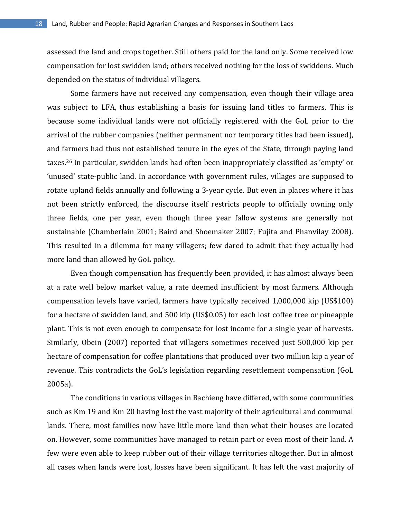assessed the land and crops together. Still others paid for the land only. Some received low compensation for lost swidden land; others received nothing for the loss of swiddens. Much depended on the status of individual villagers.

Some farmers have not received any compensation, even though their village area was subject to LFA, thus establishing a basis for issuing land titles to farmers. This is because some individual lands were not officially registered with the GoL prior to the arrival of the rubber companies (neither permanent nor temporary titles had been issued), and farmers had thus not established tenure in the eyes of the State, through paying land taxes.<sup>26</sup> In particular, swidden lands had often been inappropriately classified as 'empty' or 'unused' state-public land. In accordance with government rules, villages are supposed to rotate upland fields annually and following a 3-year cycle. But even in places where it has not been strictly enforced, the discourse itself restricts people to officially owning only three fields, one per year, even though three year fallow systems are generally not sustainable (Chamberlain 2001; Baird and Shoemaker 2007; Fujita and Phanvilay 2008). This resulted in a dilemma for many villagers; few dared to admit that they actually had more land than allowed by GoL policy.

Even though compensation has frequently been provided, it has almost always been at a rate well below market value, a rate deemed insufficient by most farmers. Although compensation levels have varied, farmers have typically received 1,000,000 kip (US\$100) for a hectare of swidden land, and 500 kip (US\$0.05) for each lost coffee tree or pineapple plant. This is not even enough to compensate for lost income for a single year of harvests. Similarly, Obein (2007) reported that villagers sometimes received just 500,000 kip per hectare of compensation for coffee plantations that produced over two million kip a year of revenue. This contradicts the GoL's legislation regarding resettlement compensation (GoL 2005a).

The conditions in various villages in Bachieng have differed, with some communities such as Km 19 and Km 20 having lost the vast majority of their agricultural and communal lands. There, most families now have little more land than what their houses are located on. However, some communities have managed to retain part or even most of their land. A few were even able to keep rubber out of their village territories altogether. But in almost all cases when lands were lost, losses have been significant. It has left the vast majority of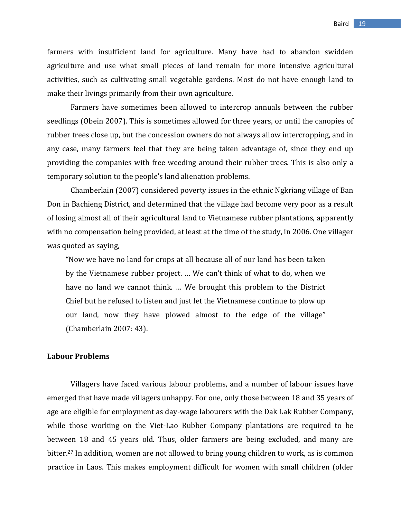farmers with insufficient land for agriculture. Many have had to abandon swidden agriculture and use what small pieces of land remain for more intensive agricultural activities, such as cultivating small vegetable gardens. Most do not have enough land to make their livings primarily from their own agriculture.

Farmers have sometimes been allowed to intercrop annuals between the rubber seedlings (Obein 2007). This is sometimes allowed for three years, or until the canopies of rubber trees close up, but the concession owners do not always allow intercropping, and in any case, many farmers feel that they are being taken advantage of, since they end up providing the companies with free weeding around their rubber trees. This is also only a temporary solution to the people's land alienation problems.

Chamberlain (2007) considered poverty issues in the ethnic Ngkriang village of Ban Don in Bachieng District, and determined that the village had become very poor as a result of losing almost all of their agricultural land to Vietnamese rubber plantations, apparently with no compensation being provided, at least at the time of the study, in 2006. One villager was quoted as saying,

"Now we have no land for crops at all because all of our land has been taken by the Vietnamese rubber project. … We can't think of what to do, when we have no land we cannot think. … We brought this problem to the District Chief but he refused to listen and just let the Vietnamese continue to plow up our land, now they have plowed almost to the edge of the village" (Chamberlain 2007: 43).

#### **Labour Problems**

Villagers have faced various labour problems, and a number of labour issues have emerged that have made villagers unhappy. For one, only those between 18 and 35 years of age are eligible for employment as day-wage labourers with the Dak Lak Rubber Company, while those working on the Viet-Lao Rubber Company plantations are required to be between 18 and 45 years old. Thus, older farmers are being excluded, and many are bitter.<sup>27</sup> In addition, women are not allowed to bring young children to work, as is common practice in Laos. This makes employment difficult for women with small children (older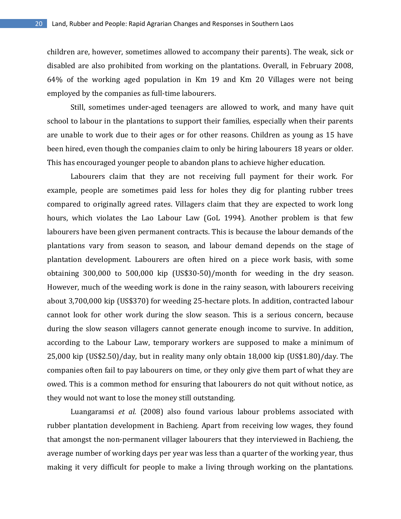children are, however, sometimes allowed to accompany their parents). The weak, sick or disabled are also prohibited from working on the plantations. Overall, in February 2008, 64% of the working aged population in Km 19 and Km 20 Villages were not being employed by the companies as full-time labourers.

Still, sometimes under-aged teenagers are allowed to work, and many have quit school to labour in the plantations to support their families, especially when their parents are unable to work due to their ages or for other reasons. Children as young as 15 have been hired, even though the companies claim to only be hiring labourers 18 years or older. This has encouraged younger people to abandon plans to achieve higher education.

Labourers claim that they are not receiving full payment for their work. For example, people are sometimes paid less for holes they dig for planting rubber trees compared to originally agreed rates. Villagers claim that they are expected to work long hours, which violates the Lao Labour Law (GoL 1994). Another problem is that few labourers have been given permanent contracts. This is because the labour demands of the plantations vary from season to season, and labour demand depends on the stage of plantation development. Labourers are often hired on a piece work basis, with some obtaining 300,000 to 500,000 kip (US\$30-50)/month for weeding in the dry season. However, much of the weeding work is done in the rainy season, with labourers receiving about 3,700,000 kip (US\$370) for weeding 25-hectare plots. In addition, contracted labour cannot look for other work during the slow season. This is a serious concern, because during the slow season villagers cannot generate enough income to survive. In addition, according to the Labour Law, temporary workers are supposed to make a minimum of 25,000 kip (US\$2.50)/day, but in reality many only obtain 18,000 kip (US\$1.80)/day. The companies often fail to pay labourers on time, or they only give them part of what they are owed. This is a common method for ensuring that labourers do not quit without notice, as they would not want to lose the money still outstanding.

Luangaramsi *et al.* (2008) also found various labour problems associated with rubber plantation development in Bachieng. Apart from receiving low wages, they found that amongst the non-permanent villager labourers that they interviewed in Bachieng, the average number of working days per year was less than a quarter of the working year, thus making it very difficult for people to make a living through working on the plantations.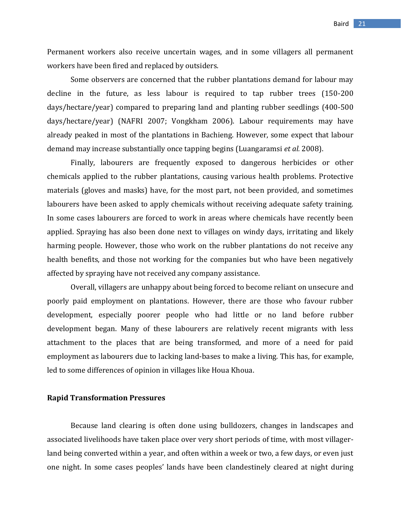Permanent workers also receive uncertain wages, and in some villagers all permanent workers have been fired and replaced by outsiders.

Some observers are concerned that the rubber plantations demand for labour may decline in the future, as less labour is required to tap rubber trees (150-200 days/hectare/year) compared to preparing land and planting rubber seedlings (400-500 days/hectare/year) (NAFRI 2007; Vongkham 2006). Labour requirements may have already peaked in most of the plantations in Bachieng. However, some expect that labour demand may increase substantially once tapping begins (Luangaramsi *et al.* 2008).

Finally, labourers are frequently exposed to dangerous herbicides or other chemicals applied to the rubber plantations, causing various health problems. Protective materials (gloves and masks) have, for the most part, not been provided, and sometimes labourers have been asked to apply chemicals without receiving adequate safety training. In some cases labourers are forced to work in areas where chemicals have recently been applied. Spraying has also been done next to villages on windy days, irritating and likely harming people. However, those who work on the rubber plantations do not receive any health benefits, and those not working for the companies but who have been negatively affected by spraying have not received any company assistance.

Overall, villagers are unhappy about being forced to become reliant on unsecure and poorly paid employment on plantations. However, there are those who favour rubber development, especially poorer people who had little or no land before rubber development began. Many of these labourers are relatively recent migrants with less attachment to the places that are being transformed, and more of a need for paid employment as labourers due to lacking land-bases to make a living. This has, for example, led to some differences of opinion in villages like Houa Khoua.

## **Rapid Transformation Pressures**

Because land clearing is often done using bulldozers, changes in landscapes and associated livelihoods have taken place over very short periods of time, with most villagerland being converted within a year, and often within a week or two, a few days, or even just one night. In some cases peoples' lands have been clandestinely cleared at night during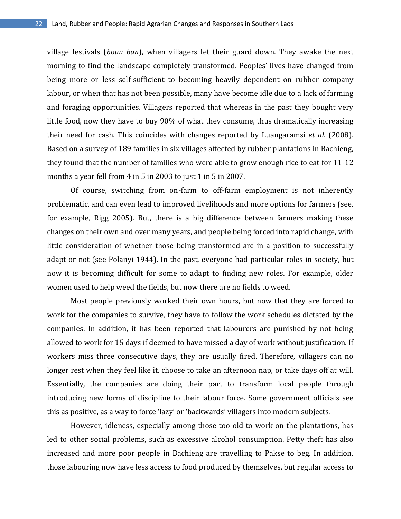village festivals (*boun ban*), when villagers let their guard down. They awake the next morning to find the landscape completely transformed. Peoples' lives have changed from being more or less self-sufficient to becoming heavily dependent on rubber company labour, or when that has not been possible, many have become idle due to a lack of farming and foraging opportunities. Villagers reported that whereas in the past they bought very little food, now they have to buy 90% of what they consume, thus dramatically increasing their need for cash. This coincides with changes reported by Luangaramsi *et al.* (2008). Based on a survey of 189 families in six villages affected by rubber plantations in Bachieng, they found that the number of families who were able to grow enough rice to eat for 11-12 months a year fell from 4 in 5 in 2003 to just 1 in 5 in 2007.

Of course, switching from on-farm to off-farm employment is not inherently problematic, and can even lead to improved livelihoods and more options for farmers (see, for example, Rigg 2005). But, there is a big difference between farmers making these changes on their own and over many years, and people being forced into rapid change, with little consideration of whether those being transformed are in a position to successfully adapt or not (see Polanyi 1944). In the past, everyone had particular roles in society, but now it is becoming difficult for some to adapt to finding new roles. For example, older women used to help weed the fields, but now there are no fields to weed.

Most people previously worked their own hours, but now that they are forced to work for the companies to survive, they have to follow the work schedules dictated by the companies. In addition, it has been reported that labourers are punished by not being allowed to work for 15 days if deemed to have missed a day of work without justification. If workers miss three consecutive days, they are usually fired. Therefore, villagers can no longer rest when they feel like it, choose to take an afternoon nap, or take days off at will. Essentially, the companies are doing their part to transform local people through introducing new forms of discipline to their labour force. Some government officials see this as positive, as a way to force 'lazy' or 'backwards' villagers into modern subjects.

However, idleness, especially among those too old to work on the plantations, has led to other social problems, such as excessive alcohol consumption. Petty theft has also increased and more poor people in Bachieng are travelling to Pakse to beg. In addition, those labouring now have less access to food produced by themselves, but regular access to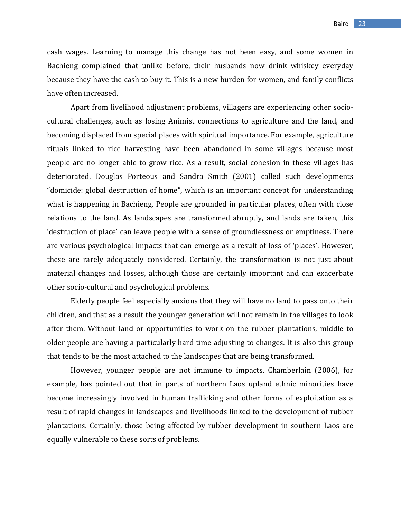cash wages. Learning to manage this change has not been easy, and some women in Bachieng complained that unlike before, their husbands now drink whiskey everyday because they have the cash to buy it. This is a new burden for women, and family conflicts have often increased.

Apart from livelihood adjustment problems, villagers are experiencing other sociocultural challenges, such as losing Animist connections to agriculture and the land, and becoming displaced from special places with spiritual importance. For example, agriculture rituals linked to rice harvesting have been abandoned in some villages because most people are no longer able to grow rice. As a result, social cohesion in these villages has deteriorated. Douglas Porteous and Sandra Smith (2001) called such developments "domicide: global destruction of home", which is an important concept for understanding what is happening in Bachieng. People are grounded in particular places, often with close relations to the land. As landscapes are transformed abruptly, and lands are taken, this 'destruction of place' can leave people with a sense of groundlessness or emptiness. There are various psychological impacts that can emerge as a result of loss of 'places'. However, these are rarely adequately considered. Certainly, the transformation is not just about material changes and losses, although those are certainly important and can exacerbate other socio-cultural and psychological problems.

Elderly people feel especially anxious that they will have no land to pass onto their children, and that as a result the younger generation will not remain in the villages to look after them. Without land or opportunities to work on the rubber plantations, middle to older people are having a particularly hard time adjusting to changes. It is also this group that tends to be the most attached to the landscapes that are being transformed.

However, younger people are not immune to impacts. Chamberlain (2006), for example, has pointed out that in parts of northern Laos upland ethnic minorities have become increasingly involved in human trafficking and other forms of exploitation as a result of rapid changes in landscapes and livelihoods linked to the development of rubber plantations. Certainly, those being affected by rubber development in southern Laos are equally vulnerable to these sorts of problems.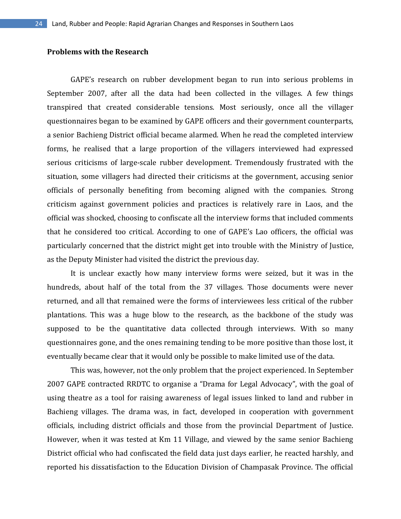# **Problems with the Research**

GAPE's research on rubber development began to run into serious problems in September 2007, after all the data had been collected in the villages. A few things transpired that created considerable tensions. Most seriously, once all the villager questionnaires began to be examined by GAPE officers and their government counterparts, a senior Bachieng District official became alarmed. When he read the completed interview forms, he realised that a large proportion of the villagers interviewed had expressed serious criticisms of large-scale rubber development. Tremendously frustrated with the situation, some villagers had directed their criticisms at the government, accusing senior officials of personally benefiting from becoming aligned with the companies. Strong criticism against government policies and practices is relatively rare in Laos, and the official was shocked, choosing to confiscate all the interview forms that included comments that he considered too critical. According to one of GAPE's Lao officers, the official was particularly concerned that the district might get into trouble with the Ministry of Justice, as the Deputy Minister had visited the district the previous day.

It is unclear exactly how many interview forms were seized, but it was in the hundreds, about half of the total from the 37 villages. Those documents were never returned, and all that remained were the forms of interviewees less critical of the rubber plantations. This was a huge blow to the research, as the backbone of the study was supposed to be the quantitative data collected through interviews. With so many questionnaires gone, and the ones remaining tending to be more positive than those lost, it eventually became clear that it would only be possible to make limited use of the data.

This was, however, not the only problem that the project experienced. In September 2007 GAPE contracted RRDTC to organise a "Drama for Legal Advocacy", with the goal of using theatre as a tool for raising awareness of legal issues linked to land and rubber in Bachieng villages. The drama was, in fact, developed in cooperation with government officials, including district officials and those from the provincial Department of Justice. However, when it was tested at Km 11 Village, and viewed by the same senior Bachieng District official who had confiscated the field data just days earlier, he reacted harshly, and reported his dissatisfaction to the Education Division of Champasak Province. The official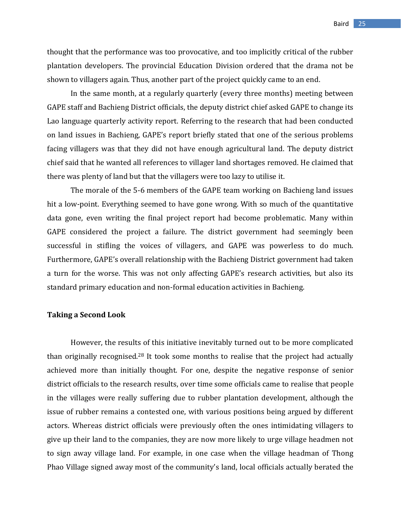thought that the performance was too provocative, and too implicitly critical of the rubber plantation developers. The provincial Education Division ordered that the drama not be shown to villagers again. Thus, another part of the project quickly came to an end.

In the same month, at a regularly quarterly (every three months) meeting between GAPE staff and Bachieng District officials, the deputy district chief asked GAPE to change its Lao language quarterly activity report. Referring to the research that had been conducted on land issues in Bachieng, GAPE's report briefly stated that one of the serious problems facing villagers was that they did not have enough agricultural land. The deputy district chief said that he wanted all references to villager land shortages removed. He claimed that there was plenty of land but that the villagers were too lazy to utilise it.

The morale of the 5-6 members of the GAPE team working on Bachieng land issues hit a low-point. Everything seemed to have gone wrong. With so much of the quantitative data gone, even writing the final project report had become problematic. Many within GAPE considered the project a failure. The district government had seemingly been successful in stifling the voices of villagers, and GAPE was powerless to do much. Furthermore, GAPE's overall relationship with the Bachieng District government had taken a turn for the worse. This was not only affecting GAPE's research activities, but also its standard primary education and non-formal education activities in Bachieng.

## **Taking a Second Look**

However, the results of this initiative inevitably turned out to be more complicated than originally recognised.<sup>28</sup> It took some months to realise that the project had actually achieved more than initially thought. For one, despite the negative response of senior district officials to the research results, over time some officials came to realise that people in the villages were really suffering due to rubber plantation development, although the issue of rubber remains a contested one, with various positions being argued by different actors. Whereas district officials were previously often the ones intimidating villagers to give up their land to the companies, they are now more likely to urge village headmen not to sign away village land. For example, in one case when the village headman of Thong Phao Village signed away most of the community's land, local officials actually berated the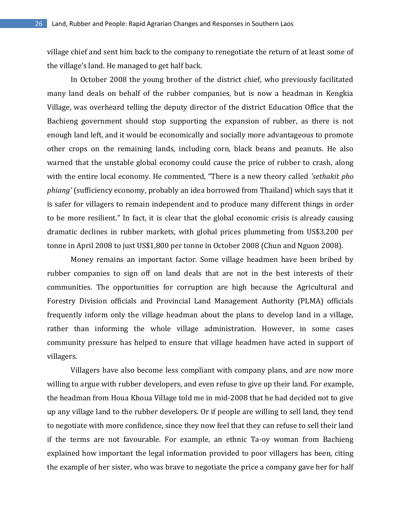village chief and sent him back to the company to renegotiate the return of at least some of the village's land. He managed to get half back.

In October 2008 the young brother of the district chief, who previously facilitated many land deals on behalf of the rubber companies, but is now a headman in Kengkia Village, was overheard telling the deputy director of the district Education Office that the Bachieng government should stop supporting the expansion of rubber, as there is not enough land left, and it would be economically and socially more advantageous to promote other crops on the remaining lands, including corn, black beans and peanuts. He also warned that the unstable global economy could cause the price of rubber to crash, along with the entire local economy. He commented, "There is a new theory called *'sethakit pho phiang'* (sufficiency economy, probably an idea borrowed from Thailand) which says that it is safer for villagers to remain independent and to produce many different things in order to be more resilient." In fact, it is clear that the global economic crisis is already causing dramatic declines in rubber markets, with global prices plummeting from US\$3,200 per tonne in April 2008 to just US\$1,800 per tonne in October 2008 (Chun and Nguon 2008).

Money remains an important factor. Some village headmen have been bribed by rubber companies to sign off on land deals that are not in the best interests of their communities. The opportunities for corruption are high because the Agricultural and Forestry Division officials and Provincial Land Management Authority (PLMA) officials frequently inform only the village headman about the plans to develop land in a village, rather than informing the whole village administration. However, in some cases community pressure has helped to ensure that village headmen have acted in support of villagers.

Villagers have also become less compliant with company plans, and are now more willing to argue with rubber developers, and even refuse to give up their land. For example, the headman from Houa Khoua Village told me in mid-2008 that he had decided not to give up any village land to the rubber developers. Or if people are willing to sell land, they tend to negotiate with more confidence, since they now feel that they can refuse to sell their land if the terms are not favourable. For example, an ethnic Ta-oy woman from Bachieng explained how important the legal information provided to poor villagers has been, citing the example of her sister, who was brave to negotiate the price a company gave her for half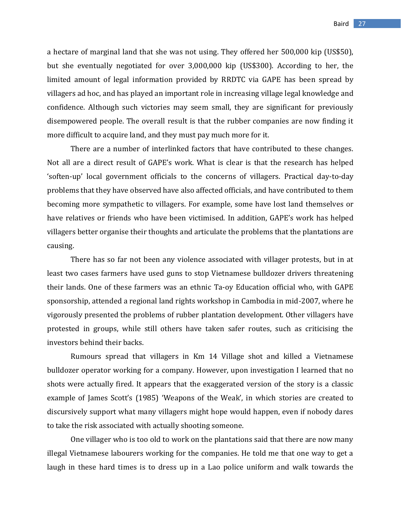a hectare of marginal land that she was not using. They offered her 500,000 kip (US\$50), but she eventually negotiated for over 3,000,000 kip (US\$300). According to her, the limited amount of legal information provided by RRDTC via GAPE has been spread by villagers ad hoc, and has played an important role in increasing village legal knowledge and confidence. Although such victories may seem small, they are significant for previously disempowered people. The overall result is that the rubber companies are now finding it more difficult to acquire land, and they must pay much more for it.

There are a number of interlinked factors that have contributed to these changes. Not all are a direct result of GAPE's work. What is clear is that the research has helped 'soften-up' local government officials to the concerns of villagers. Practical day-to-day problems that they have observed have also affected officials, and have contributed to them becoming more sympathetic to villagers. For example, some have lost land themselves or have relatives or friends who have been victimised. In addition, GAPE's work has helped villagers better organise their thoughts and articulate the problems that the plantations are causing.

There has so far not been any violence associated with villager protests, but in at least two cases farmers have used guns to stop Vietnamese bulldozer drivers threatening their lands. One of these farmers was an ethnic Ta-oy Education official who, with GAPE sponsorship, attended a regional land rights workshop in Cambodia in mid-2007, where he vigorously presented the problems of rubber plantation development. Other villagers have protested in groups, while still others have taken safer routes, such as criticising the investors behind their backs.

Rumours spread that villagers in Km 14 Village shot and killed a Vietnamese bulldozer operator working for a company. However, upon investigation I learned that no shots were actually fired. It appears that the exaggerated version of the story is a classic example of James Scott's (1985) 'Weapons of the Weak', in which stories are created to discursively support what many villagers might hope would happen, even if nobody dares to take the risk associated with actually shooting someone.

One villager who is too old to work on the plantations said that there are now many illegal Vietnamese labourers working for the companies. He told me that one way to get a laugh in these hard times is to dress up in a Lao police uniform and walk towards the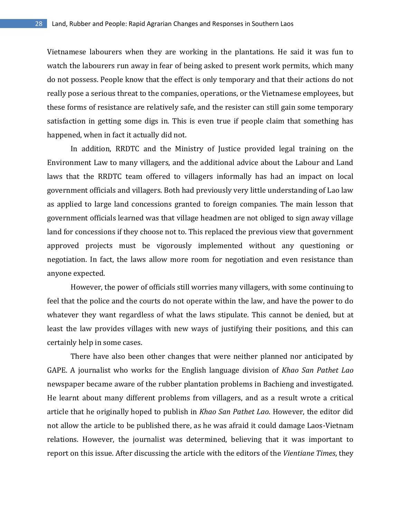Vietnamese labourers when they are working in the plantations. He said it was fun to watch the labourers run away in fear of being asked to present work permits, which many do not possess. People know that the effect is only temporary and that their actions do not really pose a serious threat to the companies, operations, or the Vietnamese employees, but these forms of resistance are relatively safe, and the resister can still gain some temporary satisfaction in getting some digs in. This is even true if people claim that something has happened, when in fact it actually did not.

In addition, RRDTC and the Ministry of Justice provided legal training on the Environment Law to many villagers, and the additional advice about the Labour and Land laws that the RRDTC team offered to villagers informally has had an impact on local government officials and villagers. Both had previously very little understanding of Lao law as applied to large land concessions granted to foreign companies. The main lesson that government officials learned was that village headmen are not obliged to sign away village land for concessions if they choose not to. This replaced the previous view that government approved projects must be vigorously implemented without any questioning or negotiation. In fact, the laws allow more room for negotiation and even resistance than anyone expected.

However, the power of officials still worries many villagers, with some continuing to feel that the police and the courts do not operate within the law, and have the power to do whatever they want regardless of what the laws stipulate. This cannot be denied, but at least the law provides villages with new ways of justifying their positions, and this can certainly help in some cases.

There have also been other changes that were neither planned nor anticipated by GAPE. A journalist who works for the English language division of *Khao San Pathet Lao* newspaper became aware of the rubber plantation problems in Bachieng and investigated. He learnt about many different problems from villagers, and as a result wrote a critical article that he originally hoped to publish in *Khao San Pathet Lao*. However, the editor did not allow the article to be published there, as he was afraid it could damage Laos-Vietnam relations. However, the journalist was determined, believing that it was important to report on this issue. After discussing the article with the editors of the *Vientiane Times*, they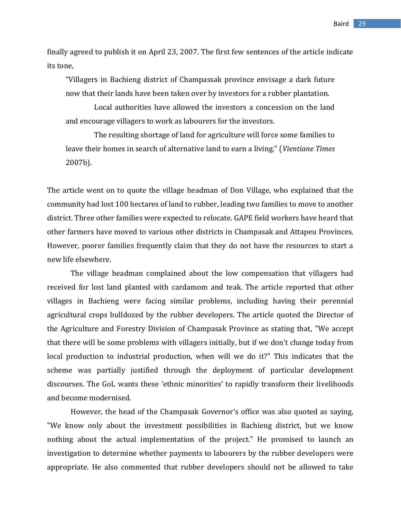Baird 29

finally agreed to publish it on April 23, 2007. The first few sentences of the article indicate its tone,

"Villagers in Bachieng district of Champassak province envisage a dark future now that their lands have been taken over by investors for a rubber plantation.

Local authorities have allowed the investors a concession on the land and encourage villagers to work as labourers for the investors.

The resulting shortage of land for agriculture will force some families to leave their homes in search of alternative land to earn a living." (*Vientiane Times* 2007b).

The article went on to quote the village headman of Don Village, who explained that the community had lost 100 hectares of land to rubber, leading two families to move to another district. Three other families were expected to relocate. GAPE field workers have heard that other farmers have moved to various other districts in Champasak and Attapeu Provinces. However, poorer families frequently claim that they do not have the resources to start a new life elsewhere.

The village headman complained about the low compensation that villagers had received for lost land planted with cardamom and teak. The article reported that other villages in Bachieng were facing similar problems, including having their perennial agricultural crops bulldozed by the rubber developers. The article quoted the Director of the Agriculture and Forestry Division of Champasak Province as stating that, "We accept that there will be some problems with villagers initially, but if we don't change today from local production to industrial production, when will we do it?" This indicates that the scheme was partially justified through the deployment of particular development discourses. The GoL wants these 'ethnic minorities' to rapidly transform their livelihoods and become modernised.

However, the head of the Champasak Governor's office was also quoted as saying, "We know only about the investment possibilities in Bachieng district, but we know nothing about the actual implementation of the project." He promised to launch an investigation to determine whether payments to labourers by the rubber developers were appropriate. He also commented that rubber developers should not be allowed to take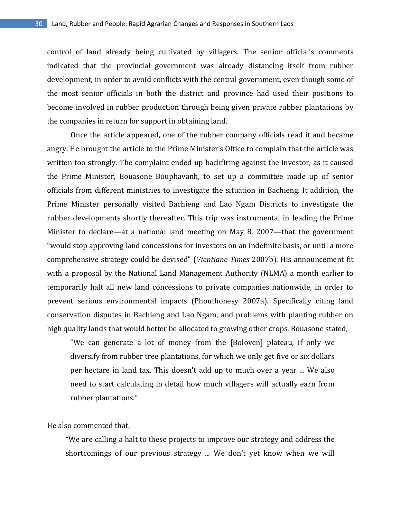control of land already being cultivated by villagers. The senior official's comments indicated that the provincial government was already distancing itself from rubber development, in order to avoid conflicts with the central government, even though some of the most senior officials in both the district and province had used their positions to become involved in rubber production through being given private rubber plantations by the companies in return for support in obtaining land.

Once the article appeared, one of the rubber company officials read it and became angry. He brought the article to the Prime Minister's Office to complain that the article was written too strongly. The complaint ended up backfiring against the investor, as it caused the Prime Minister, Bouasone Bouphavanh, to set up a committee made up of senior officials from different ministries to investigate the situation in Bachieng. It addition, the Prime Minister personally visited Bachieng and Lao Ngam Districts to investigate the rubber developments shortly thereafter. This trip was instrumental in leading the Prime Minister to declare—at a national land meeting on May 8, 2007—that the government "would stop approving land concessions for investors on an indefinite basis, or until a more comprehensive strategy could be devised" (*Vientiane Times* 2007b). His announcement fit with a proposal by the National Land Management Authority (NLMA) a month earlier to temporarily halt all new land concessions to private companies nationwide, in order to prevent serious environmental impacts (Phouthonesy 2007a). Specifically citing land conservation disputes in Bachieng and Lao Ngam, and problems with planting rubber on high quality lands that would better be allocated to growing other crops, Bouasone stated,

"We can generate a lot of money from the [Boloven] plateau, if only we diversify from rubber tree plantations, for which we only get five or six dollars per hectare in land tax. This doesn't add up to much over a year ... We also need to start calculating in detail how much villagers will actually earn from rubber plantations."

He also commented that,

"We are calling a halt to these projects to improve our strategy and address the shortcomings of our previous strategy ... We don't yet know when we will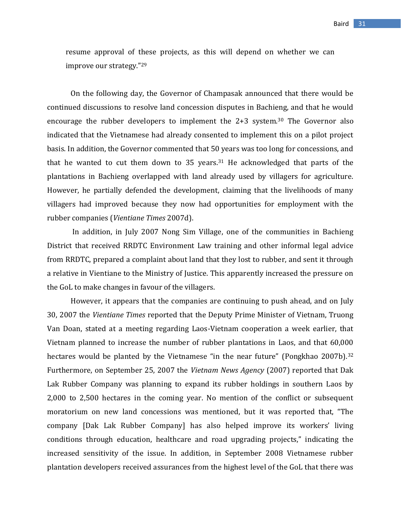resume approval of these projects, as this will depend on whether we can improve our strategy."<sup>29</sup>

On the following day, the Governor of Champasak announced that there would be continued discussions to resolve land concession disputes in Bachieng, and that he would encourage the rubber developers to implement the 2+3 system.<sup>30</sup> The Governor also indicated that the Vietnamese had already consented to implement this on a pilot project basis. In addition, the Governor commented that 50 years was too long for concessions, and that he wanted to cut them down to 35 years.<sup>31</sup> He acknowledged that parts of the plantations in Bachieng overlapped with land already used by villagers for agriculture. However, he partially defended the development, claiming that the livelihoods of many villagers had improved because they now had opportunities for employment with the rubber companies (*Vientiane Times* 2007d).

In addition, in July 2007 Nong Sim Village, one of the communities in Bachieng District that received RRDTC Environment Law training and other informal legal advice from RRDTC, prepared a complaint about land that they lost to rubber, and sent it through a relative in Vientiane to the Ministry of Justice. This apparently increased the pressure on the GoL to make changes in favour of the villagers.

However, it appears that the companies are continuing to push ahead, and on July 30, 2007 the *Vientiane Times* reported that the Deputy Prime Minister of Vietnam, Truong Van Doan, stated at a meeting regarding Laos-Vietnam cooperation a week earlier, that Vietnam planned to increase the number of rubber plantations in Laos, and that 60,000 hectares would be planted by the Vietnamese "in the near future" (Pongkhao 2007b).<sup>32</sup> Furthermore, on September 25, 2007 the *Vietnam News Agency* (2007) reported that Dak Lak Rubber Company was planning to expand its rubber holdings in southern Laos by 2,000 to 2,500 hectares in the coming year. No mention of the conflict or subsequent moratorium on new land concessions was mentioned, but it was reported that, "The company [Dak Lak Rubber Company] has also helped improve its workers' living conditions through education, healthcare and road upgrading projects," indicating the increased sensitivity of the issue. In addition, in September 2008 Vietnamese rubber plantation developers received assurances from the highest level of the GoL that there was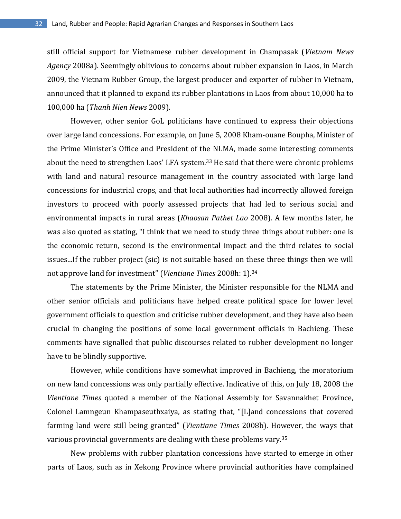still official support for Vietnamese rubber development in Champasak (*Vietnam News Agency* 2008a). Seemingly oblivious to concerns about rubber expansion in Laos, in March 2009, the Vietnam Rubber Group, the largest producer and exporter of rubber in Vietnam, announced that it planned to expand its rubber plantations in Laos from about 10,000 ha to 100,000 ha (*Thanh Nien News* 2009).

However, other senior GoL politicians have continued to express their objections over large land concessions. For example, on June 5, 2008 Kham-ouane Boupha, Minister of the Prime Minister's Office and President of the NLMA, made some interesting comments about the need to strengthen Laos' LFA system.<sup>33</sup> He said that there were chronic problems with land and natural resource management in the country associated with large land concessions for industrial crops, and that local authorities had incorrectly allowed foreign investors to proceed with poorly assessed projects that had led to serious social and environmental impacts in rural areas (*Khaosan Pathet Lao* 2008). A few months later, he was also quoted as stating, "I think that we need to study three things about rubber: one is the economic return, second is the environmental impact and the third relates to social issues...If the rubber project (sic) is not suitable based on these three things then we will not approve land for investment" (*Vientiane Times* 2008h: 1).<sup>34</sup>

The statements by the Prime Minister, the Minister responsible for the NLMA and other senior officials and politicians have helped create political space for lower level government officials to question and criticise rubber development, and they have also been crucial in changing the positions of some local government officials in Bachieng. These comments have signalled that public discourses related to rubber development no longer have to be blindly supportive.

However, while conditions have somewhat improved in Bachieng, the moratorium on new land concessions was only partially effective. Indicative of this, on July 18, 2008 the *Vientiane Times* quoted a member of the National Assembly for Savannakhet Province, Colonel Lamngeun Khampaseuthxaiya, as stating that, "[L]and concessions that covered farming land were still being granted" (*Vientiane Times* 2008b). However, the ways that various provincial governments are dealing with these problems vary.<sup>35</sup>

New problems with rubber plantation concessions have started to emerge in other parts of Laos, such as in Xekong Province where provincial authorities have complained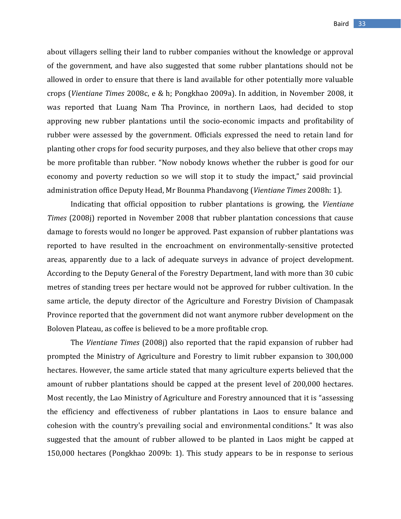about villagers selling their land to rubber companies without the knowledge or approval of the government, and have also suggested that some rubber plantations should not be allowed in order to ensure that there is land available for other potentially more valuable crops (*Vientiane Times* 2008c, e & h; Pongkhao 2009a). In addition, in November 2008, it was reported that Luang Nam Tha Province, in northern Laos, had decided to stop approving new rubber plantations until the socio-economic impacts and profitability of rubber were assessed by the government. Officials expressed the need to retain land for planting other crops for food security purposes, and they also believe that other crops may be more profitable than rubber. "Now nobody knows whether the rubber is good for our economy and poverty reduction so we will stop it to study the impact," said provincial administration office Deputy Head, Mr Bounma Phandavong (*Vientiane Times* 2008h: 1).

Indicating that official opposition to rubber plantations is growing, the *Vientiane Times* (2008j) reported in November 2008 that rubber plantation concessions that cause damage to forests would no longer be approved. Past expansion of rubber plantations was reported to have resulted in the encroachment on environmentally-sensitive protected areas, apparently due to a lack of adequate surveys in advance of project development. According to the Deputy General of the Forestry Department, land with more than 30 cubic metres of standing trees per hectare would not be approved for rubber cultivation. In the same article, the deputy director of the Agriculture and Forestry Division of Champasak Province reported that the government did not want anymore rubber development on the Boloven Plateau, as coffee is believed to be a more profitable crop.

The *Vientiane Times* (2008j) also reported that the rapid expansion of rubber had prompted the Ministry of Agriculture and Forestry to limit rubber expansion to 300,000 hectares. However, the same article stated that many agriculture experts believed that the amount of rubber plantations should be capped at the present level of 200,000 hectares. Most recently, the Lao Ministry of Agriculture and Forestry announced that it is "assessing the efficiency and effectiveness of rubber plantations in Laos to ensure balance and cohesion with the country's prevailing social and environmental conditions." It was also suggested that the amount of rubber allowed to be planted in Laos might be capped at 150,000 hectares (Pongkhao 2009b: 1). This study appears to be in response to serious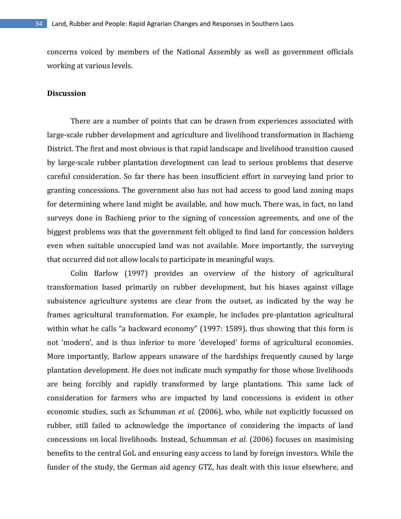concerns voiced by members of the National Assembly as well as government officials working at various levels.

# **Discussion**

There are a number of points that can be drawn from experiences associated with large-scale rubber development and agriculture and livelihood transformation in Bachieng District. The first and most obvious is that rapid landscape and livelihood transition caused by large-scale rubber plantation development can lead to serious problems that deserve careful consideration. So far there has been insufficient effort in surveying land prior to granting concessions. The government also has not had access to good land zoning maps for determining where land might be available, and how much. There was, in fact, no land surveys done in Bachieng prior to the signing of concession agreements, and one of the biggest problems was that the government felt obliged to find land for concession holders even when suitable unoccupied land was not available. More importantly, the surveying that occurred did not allow locals to participate in meaningful ways.

Colin Barlow (1997) provides an overview of the history of agricultural transformation based primarily on rubber development, but his biases against village subsistence agriculture systems are clear from the outset, as indicated by the way he frames agricultural transformation. For example, he includes pre-plantation agricultural within what he calls "a backward economy" (1997: 1589), thus showing that this form is not 'modern', and is thus inferior to more 'developed' forms of agricultural economies. More importantly, Barlow appears unaware of the hardships frequently caused by large plantation development. He does not indicate much sympathy for those whose livelihoods are being forcibly and rapidly transformed by large plantations. This same lack of consideration for farmers who are impacted by land concessions is evident in other economic studies, such as Schumman *et al.* (2006), who, while not explicitly focussed on rubber, still failed to acknowledge the importance of considering the impacts of land concessions on local livelihoods. Instead, Schumman *et al.* (2006) focuses on maximising benefits to the central GoL and ensuring easy access to land by foreign investors. While the funder of the study, the German aid agency GTZ, has dealt with this issue elsewhere, and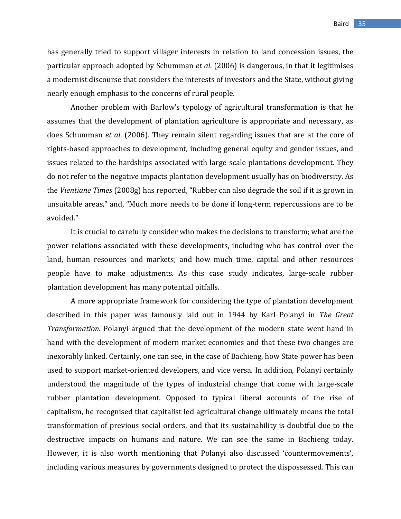has generally tried to support villager interests in relation to land concession issues, the particular approach adopted by Schumman *et al*. (2006) is dangerous, in that it legitimises a modernist discourse that considers the interests of investors and the State, without giving nearly enough emphasis to the concerns of rural people.

Another problem with Barlow's typology of agricultural transformation is that he assumes that the development of plantation agriculture is appropriate and necessary, as does Schumman *et al.* (2006). They remain silent regarding issues that are at the core of rights-based approaches to development, including general equity and gender issues, and issues related to the hardships associated with large-scale plantations development. They do not refer to the negative impacts plantation development usually has on biodiversity. As the *Vientiane Times* (2008g) has reported, "Rubber can also degrade the soil if it is grown in unsuitable areas," and, "Much more needs to be done if long-term repercussions are to be avoided."

It is crucial to carefully consider who makes the decisions to transform; what are the power relations associated with these developments, including who has control over the land, human resources and markets; and how much time, capital and other resources people have to make adjustments. As this case study indicates, large-scale rubber plantation development has many potential pitfalls.

A more appropriate framework for considering the type of plantation development described in this paper was famously laid out in 1944 by Karl Polanyi in *The Great Transformation.* Polanyi argued that the development of the modern state went hand in hand with the development of modern market economies and that these two changes are inexorably linked. Certainly, one can see, in the case of Bachieng, how State power has been used to support market-oriented developers, and vice versa. In addition, Polanyi certainly understood the magnitude of the types of industrial change that come with large-scale rubber plantation development. Opposed to typical liberal accounts of the rise of capitalism, he recognised that capitalist led agricultural change ultimately means the total transformation of previous social orders, and that its sustainability is doubtful due to the destructive impacts on humans and nature. We can see the same in Bachieng today. However, it is also worth mentioning that Polanyi also discussed 'countermovements', including various measures by governments designed to protect the dispossessed. This can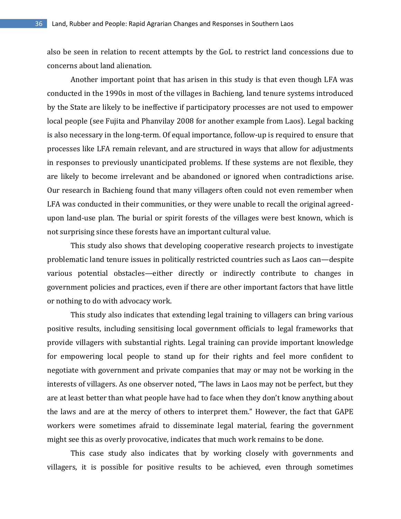also be seen in relation to recent attempts by the GoL to restrict land concessions due to concerns about land alienation.

Another important point that has arisen in this study is that even though LFA was conducted in the 1990s in most of the villages in Bachieng, land tenure systems introduced by the State are likely to be ineffective if participatory processes are not used to empower local people (see Fujita and Phanvilay 2008 for another example from Laos). Legal backing is also necessary in the long-term. Of equal importance, follow-up is required to ensure that processes like LFA remain relevant, and are structured in ways that allow for adjustments in responses to previously unanticipated problems. If these systems are not flexible, they are likely to become irrelevant and be abandoned or ignored when contradictions arise. Our research in Bachieng found that many villagers often could not even remember when LFA was conducted in their communities, or they were unable to recall the original agreedupon land-use plan. The burial or spirit forests of the villages were best known, which is not surprising since these forests have an important cultural value.

This study also shows that developing cooperative research projects to investigate problematic land tenure issues in politically restricted countries such as Laos can—despite various potential obstacles—either directly or indirectly contribute to changes in government policies and practices, even if there are other important factors that have little or nothing to do with advocacy work.

This study also indicates that extending legal training to villagers can bring various positive results, including sensitising local government officials to legal frameworks that provide villagers with substantial rights. Legal training can provide important knowledge for empowering local people to stand up for their rights and feel more confident to negotiate with government and private companies that may or may not be working in the interests of villagers. As one observer noted, "The laws in Laos may not be perfect, but they are at least better than what people have had to face when they don't know anything about the laws and are at the mercy of others to interpret them." However, the fact that GAPE workers were sometimes afraid to disseminate legal material, fearing the government might see this as overly provocative, indicates that much work remains to be done.

This case study also indicates that by working closely with governments and villagers, it is possible for positive results to be achieved, even through sometimes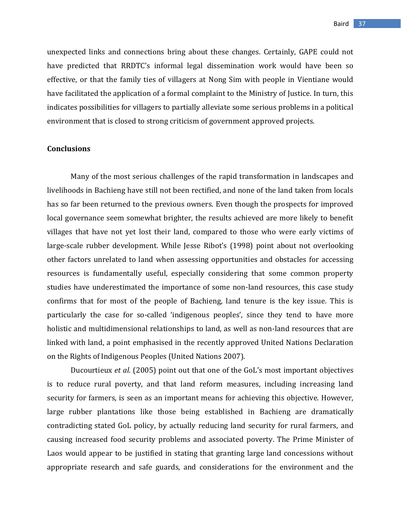unexpected links and connections bring about these changes. Certainly, GAPE could not have predicted that RRDTC's informal legal dissemination work would have been so effective, or that the family ties of villagers at Nong Sim with people in Vientiane would have facilitated the application of a formal complaint to the Ministry of Justice. In turn, this indicates possibilities for villagers to partially alleviate some serious problems in a political environment that is closed to strong criticism of government approved projects.

#### **Conclusions**

Many of the most serious challenges of the rapid transformation in landscapes and livelihoods in Bachieng have still not been rectified, and none of the land taken from locals has so far been returned to the previous owners. Even though the prospects for improved local governance seem somewhat brighter, the results achieved are more likely to benefit villages that have not yet lost their land, compared to those who were early victims of large-scale rubber development. While Jesse Ribot's (1998) point about not overlooking other factors unrelated to land when assessing opportunities and obstacles for accessing resources is fundamentally useful, especially considering that some common property studies have underestimated the importance of some non-land resources, this case study confirms that for most of the people of Bachieng, land tenure is the key issue. This is particularly the case for so-called 'indigenous peoples', since they tend to have more holistic and multidimensional relationships to land, as well as non-land resources that are linked with land, a point emphasised in the recently approved United Nations Declaration on the Rights of Indigenous Peoples (United Nations 2007).

Ducourtieux *et al.* (2005) point out that one of the GoL's most important objectives is to reduce rural poverty, and that land reform measures, including increasing land security for farmers, is seen as an important means for achieving this objective. However, large rubber plantations like those being established in Bachieng are dramatically contradicting stated GoL policy, by actually reducing land security for rural farmers, and causing increased food security problems and associated poverty. The Prime Minister of Laos would appear to be justified in stating that granting large land concessions without appropriate research and safe guards, and considerations for the environment and the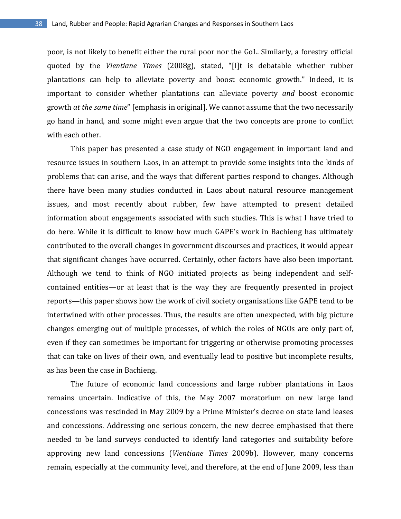poor, is not likely to benefit either the rural poor nor the GoL. Similarly, a forestry official quoted by the *Vientiane Times* (2008g), stated, "[I]t is debatable whether rubber plantations can help to alleviate poverty and boost economic growth." Indeed, it is important to consider whether plantations can alleviate poverty *and* boost economic growth *at the same time*" [emphasis in original]. We cannot assume that the two necessarily go hand in hand, and some might even argue that the two concepts are prone to conflict with each other.

This paper has presented a case study of NGO engagement in important land and resource issues in southern Laos, in an attempt to provide some insights into the kinds of problems that can arise, and the ways that different parties respond to changes. Although there have been many studies conducted in Laos about natural resource management issues, and most recently about rubber, few have attempted to present detailed information about engagements associated with such studies. This is what I have tried to do here. While it is difficult to know how much GAPE's work in Bachieng has ultimately contributed to the overall changes in government discourses and practices, it would appear that significant changes have occurred. Certainly, other factors have also been important. Although we tend to think of NGO initiated projects as being independent and selfcontained entities—or at least that is the way they are frequently presented in project reports—this paper shows how the work of civil society organisations like GAPE tend to be intertwined with other processes. Thus, the results are often unexpected, with big picture changes emerging out of multiple processes, of which the roles of NGOs are only part of, even if they can sometimes be important for triggering or otherwise promoting processes that can take on lives of their own, and eventually lead to positive but incomplete results, as has been the case in Bachieng.

The future of economic land concessions and large rubber plantations in Laos remains uncertain. Indicative of this, the May 2007 moratorium on new large land concessions was rescinded in May 2009 by a Prime Minister's decree on state land leases and concessions. Addressing one serious concern, the new decree emphasised that there needed to be land surveys conducted to identify land categories and suitability before approving new land concessions (*Vientiane Times* 2009b). However, many concerns remain, especially at the community level, and therefore, at the end of June 2009, less than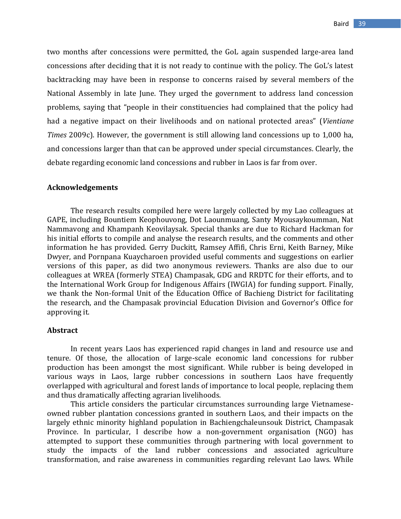two months after concessions were permitted, the GoL again suspended large-area land concessions after deciding that it is not ready to continue with the policy. The GoL's latest backtracking may have been in response to concerns raised by several members of the National Assembly in late June. They urged the government to address land concession problems, saying that "people in their constituencies had complained that the policy had had a negative impact on their livelihoods and on national protected areas" (*Vientiane Times* 2009c). However, the government is still allowing land concessions up to 1,000 ha, and concessions larger than that can be approved under special circumstances. Clearly, the debate regarding economic land concessions and rubber in Laos is far from over.

# **Acknowledgements**

The research results compiled here were largely collected by my Lao colleagues at GAPE, including Bountiem Keophouvong, Dot Laounmuang, Santy Myousaykoumman, Nat Nammavong and Khampanh Keovilaysak. Special thanks are due to Richard Hackman for his initial efforts to compile and analyse the research results, and the comments and other information he has provided. Gerry Duckitt, Ramsey Affifi, Chris Erni, Keith Barney, Mike Dwyer, and Pornpana Kuaycharoen provided useful comments and suggestions on earlier versions of this paper, as did two anonymous reviewers. Thanks are also due to our colleagues at WREA (formerly STEA) Champasak, GDG and RRDTC for their efforts, and to the International Work Group for Indigenous Affairs (IWGIA) for funding support. Finally, we thank the Non-formal Unit of the Education Office of Bachieng District for facilitating the research, and the Champasak provincial Education Division and Governor's Office for approving it.

#### **Abstract**

In recent years Laos has experienced rapid changes in land and resource use and tenure. Of those, the allocation of large-scale economic land concessions for rubber production has been amongst the most significant. While rubber is being developed in various ways in Laos, large rubber concessions in southern Laos have frequently overlapped with agricultural and forest lands of importance to local people, replacing them and thus dramatically affecting agrarian livelihoods.

This article considers the particular circumstances surrounding large Vietnameseowned rubber plantation concessions granted in southern Laos, and their impacts on the largely ethnic minority highland population in Bachiengchaleunsouk District, Champasak Province. In particular, I describe how a non-government organisation (NGO) has attempted to support these communities through partnering with local government to study the impacts of the land rubber concessions and associated agriculture transformation, and raise awareness in communities regarding relevant Lao laws. While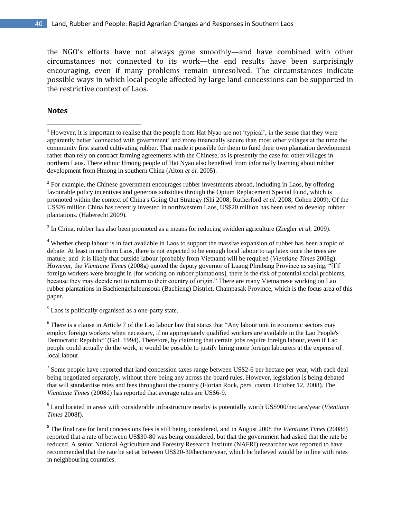the NGO's efforts have not always gone smoothly—and have combined with other circumstances not connected to its work—the end results have been surprisingly encouraging, even if many problems remain unresolved. The circumstances indicate possible ways in which local people affected by large land concessions can be supported in the restrictive context of Laos.

# **Notes**

l

 $2^2$  For example, the Chinese government encourages rubber investments abroad, including in Laos, by offering favourable policy incentives and generous subsidies through the Opium Replacement Special Fund, which is promoted within the context of China's Going Out Strategy (Shi 2008; Rutherford *et al.* 2008; Cohen 2009). Of the US\$26 million China has recently invested in northwestern Laos, US\$20 million has been used to develop rubber plantations. (Haberecht 2009).

3 In China, rubber has also been promoted as a means for reducing swidden agriculture (Ziegler *et al.* 2009).

<sup>4</sup> Whether cheap labour is in fact available in Laos to support the massive expansion of rubber has been a topic of debate. At least in northern Laos, there is not expected to be enough local labour to tap latex once the trees are mature, and it is likely that outside labour (probably from Vietnam) will be required (*Vientiane Times* 2008g). However, the *Vientiane Times* (2008g) quoted the deputy governor of Luang Phrabang Province as saying, "[I]f foreign workers were brought in [for working on rubber plantations], there is the risk of potential social problems, because they may decide not to return to their country of origin." There are many Vietnamese working on Lao rubber plantations in Bachiengchaleunsouk (Bachieng) District, Champasak Province, which is the focus area of this paper.

<sup>5</sup> Laos is politically organised as a one-party state.

 $6$  There is a clause in Article 7 of the Lao labour law that states that "Any labour unit in economic sectors may employ foreign workers when necessary, if no appropriately qualified workers are available in the Lao People's Democratic Republic" (GoL 1994). Therefore, by claiming that certain jobs require foreign labour, even if Lao people could actually do the work, it would be possible to justify hiring more foreign labourers at the expense of local labour.

 $<sup>7</sup>$  Some people have reported that land concession taxes range between US\$2-6 per hectare per year, with each deal</sup> being negotiated separately, without there being any across the board rules. However, legislation is being debated that will standardise rates and fees throughout the country (Florian Rock, *pers. comm.* October 12, 2008). The *Vientiane Times* (2008d) has reported that average rates are US\$6-9.

8 Land located in areas with considerable infrastructure nearby is potentially worth US\$900/hectare/year (*Vientiane Times* 2008f).

9 The final rate for land concessions fees is still being considered, and in August 2008 the *Vientiane Times* (2008d) reported that a rate of between US\$30-80 was being considered, but that the government had asked that the rate be reduced. A senior National Agriculture and Forestry Research Institute (NAFRI) researcher was reported to have recommended that the rate be set at between US\$20-30/hectare/year, which he believed would be in line with rates in neighbouring countries.

<sup>&</sup>lt;sup>1</sup> However, it is important to realise that the people from Hat Nyao are not 'typical', in the sense that they were apparently better "connected with government" and more financially secure than most other villages at the time the community first started cultivating rubber. That made it possible for them to fund their own plantation development rather than rely on contract farming agreements with the Chinese, as is presently the case for other villages in northern Laos. There ethnic Hmong people of Hat Nyao also benefited from informally learning about rubber development from Hmong in southern China (Alton *et al.* 2005).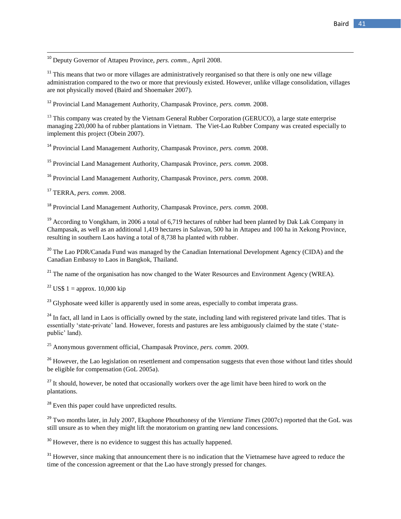<sup>10</sup> Deputy Governor of Attapeu Province, *pers. comm.,* April 2008.

 $11$ <sup>11</sup> This means that two or more villages are administratively reorganised so that there is only one new village administration compared to the two or more that previously existed. However, unlike village consolidation, villages are not physically moved (Baird and Shoemaker 2007).

<sup>12</sup> Provincial Land Management Authority, Champasak Province, *pers. comm.* 2008.

<sup>13</sup> This company was created by the Vietnam General Rubber Corporation (GERUCO), a large state enterprise managing 220,000 ha of rubber plantations in Vietnam. The Viet-Lao Rubber Company was created especially to implement this project (Obein 2007).

<sup>14</sup> Provincial Land Management Authority, Champasak Province, *pers. comm.* 2008.

<sup>15</sup> Provincial Land Management Authority, Champasak Province, *pers. comm.* 2008.

<sup>16</sup> Provincial Land Management Authority, Champasak Province, *pers. comm.* 2008.

<sup>17</sup> TERRA, *pers. comm.* 2008.

 $\overline{\phantom{a}}$ 

<sup>18</sup> Provincial Land Management Authority, Champasak Province, *pers. comm.* 2008.

<sup>19</sup> According to Vongkham, in 2006 a total of 6,719 hectares of rubber had been planted by Dak Lak Company in Champasak, as well as an additional 1,419 hectares in Salavan, 500 ha in Attapeu and 100 ha in Xekong Province, resulting in southern Laos having a total of 8,738 ha planted with rubber.

<sup>20</sup> The Lao PDR/Canada Fund was managed by the Canadian International Development Agency (CIDA) and the Canadian Embassy to Laos in Bangkok, Thailand.

 $21$ <sup>21</sup> The name of the organisation has now changed to the Water Resources and Environment Agency (WREA).

<sup>22</sup> US\$ 1 = approx. 10,000 kip

<sup>23</sup> Glyphosate weed killer is apparently used in some areas, especially to combat imperata grass.

<sup>24</sup> In fact, all land in Laos is officially owned by the state, including land with registered private land titles. That is essentially 'state-private' land. However, forests and pastures are less ambiguously claimed by the state ('statepublic' land).

<sup>25</sup> Anonymous government official, Champasak Province, *pers. comm.* 2009.

<sup>26</sup> However, the Lao legislation on resettlement and compensation suggests that even those without land titles should be eligible for compensation (GoL 2005a).

 $27$  It should, however, be noted that occasionally workers over the age limit have been hired to work on the plantations.

<sup>28</sup> Even this paper could have unpredicted results.

<sup>29</sup> Two months later, in July 2007, Ekaphone Phouthonesy of the *Vientiane Times* (2007c) reported that the GoL was still unsure as to when they might lift the moratorium on granting new land concessions.

<sup>30</sup> However, there is no evidence to suggest this has actually happened.

<sup>31</sup> However, since making that announcement there is no indication that the Vietnamese have agreed to reduce the time of the concession agreement or that the Lao have strongly pressed for changes.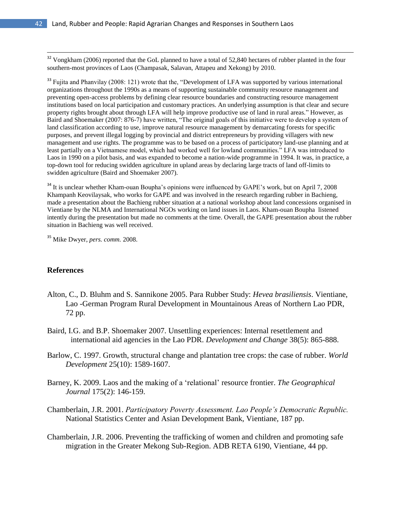$32$  Vongkham (2006) reported that the GoL planned to have a total of 52,840 hectares of rubber planted in the four southern-most provinces of Laos (Champasak, Salavan, Attapeu and Xekong) by 2010.

 $33$  Fujita and Phanvilay (2008: 121) wrote that the, "Development of LFA was supported by various international organizations throughout the 1990s as a means of supporting sustainable community resource management and preventing open-access problems by defining clear resource boundaries and constructing resource management institutions based on local participation and customary practices. An underlying assumption is that clear and secure property rights brought about through LFA will help improve productive use of land in rural areas." However, as Baird and Shoemaker (2007: 876-7) have written, "The original goals of this initiative were to develop a system of land classification according to use, improve natural resource management by demarcating forests for specific purposes, and prevent illegal logging by provincial and district entrepreneurs by providing villagers with new management and use rights. The programme was to be based on a process of participatory land-use planning and at least partially on a Vietnamese model, which had worked well for lowland communities." LFA was introduced to Laos in 1990 on a pilot basis, and was expanded to become a nation-wide programme in 1994. It was, in practice, a top-down tool for reducing swidden agriculture in upland areas by declaring large tracts of land off-limits to swidden agriculture (Baird and Shoemaker 2007).

<sup>34</sup> It is unclear whether Kham-ouan Boupha's opinions were influenced by GAPE's work, but on April 7, 2008 Khampanh Keovilaysak, who works for GAPE and was involved in the research regarding rubber in Bachieng, made a presentation about the Bachieng rubber situation at a national workshop about land concessions organised in Vientiane by the NLMA and International NGOs working on land issues in Laos. Kham-ouan Boupha listened intently during the presentation but made no comments at the time. Overall, the GAPE presentation about the rubber situation in Bachieng was well received.

<sup>35</sup> Mike Dwyer, *pers. comm.* 2008.

#### **References**

- Alton, C., D. Bluhm and S. Sannikone 2005. Para Rubber Study: *Hevea brasiliensis*. Vientiane, Lao -German Program Rural Development in Mountainous Areas of Northern Lao PDR, 72 pp.
- Baird, I.G. and B.P. Shoemaker 2007. Unsettling experiences: Internal resettlement and international aid agencies in the Lao PDR. *Development and Change* 38(5): 865-888.
- Barlow, C. 1997. Growth, structural change and plantation tree crops: the case of rubber. *World Development* 25(10): 1589-1607.
- Barney, K. 2009. Laos and the making of a "relational" resource frontier. *The Geographical Journal* 175(2): 146-159.
- Chamberlain, J.R. 2001. *Participatory Poverty Assessment. Lao People's Democratic Republic.* National Statistics Center and Asian Development Bank, Vientiane, 187 pp.
- Chamberlain, J.R. 2006. Preventing the trafficking of women and children and promoting safe migration in the Greater Mekong Sub-Region. ADB RETA 6190, Vientiane, 44 pp.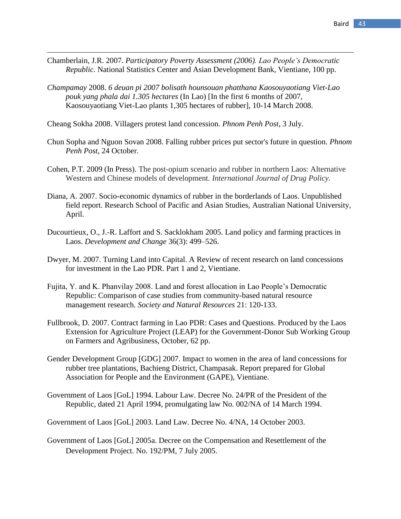- Chamberlain, J.R. 2007. *Participatory Poverty Assessment (2006). Lao People's Democratic Republic.* National Statistics Center and Asian Development Bank, Vientiane, 100 pp.
- *Champamay* 2008. *6 deuan pi 2007 bolisath hounsouan phatthana Kaosouyaotiang Viet-Lao pouk yang phala dai 1.305 hectares* (In Lao) [In the first 6 months of 2007, Kaosouyaotiang Viet-Lao plants 1,305 hectares of rubber], 10-14 March 2008.

Cheang Sokha 2008. Villagers protest land concession. *Phnom Penh Post*, 3 July.

- Chun Sopha and Nguon Sovan 2008. Falling rubber prices put sector's future in question. *Phnom Penh Post*, 24 October.
- Cohen, P.T. 2009 (In Press). The post-opium scenario and rubber in northern Laos: Alternative Western and Chinese models of development. *International Journal of Drug Policy.*
- Diana, A. 2007. Socio-economic dynamics of rubber in the borderlands of Laos. Unpublished field report. Research School of Pacific and Asian Studies, Australian National University, April.
- Ducourtieux, O., J.-R. Laffort and S. Sacklokham 2005. Land policy and farming practices in Laos. *Development and Change* 36(3): 499–526.
- Dwyer, M. 2007. Turning Land into Capital. A Review of recent research on land concessions for investment in the Lao PDR. Part 1 and 2, Vientiane.
- Fujita, Y. and K. Phanvilay 2008. Land and forest allocation in Lao People"s Democratic Republic: Comparison of case studies from community-based natural resource management research. *Society and Natural Resources* 21: 120-133.
- Fullbrook, D. 2007. Contract farming in Lao PDR: Cases and Questions. Produced by the Laos Extension for Agriculture Project (LEAP) for the Government-Donor Sub Working Group on Farmers and Agribusiness, October, 62 pp.
- Gender Development Group [GDG] 2007. Impact to women in the area of land concessions for rubber tree plantations, Bachieng District, Champasak. Report prepared for Global Association for People and the Environment (GAPE), Vientiane.
- Government of Laos [GoL] 1994. Labour Law. Decree No. 24/PR of the President of the Republic, dated 21 April 1994, promulgating law No. 002/NA of 14 March 1994.
- Government of Laos [GoL] 2003. Land Law. Decree No. 4/NA, 14 October 2003.
- Government of Laos [GoL] 2005a. Decree on the Compensation and Resettlement of the Development Project. No. 192/PM, 7 July 2005.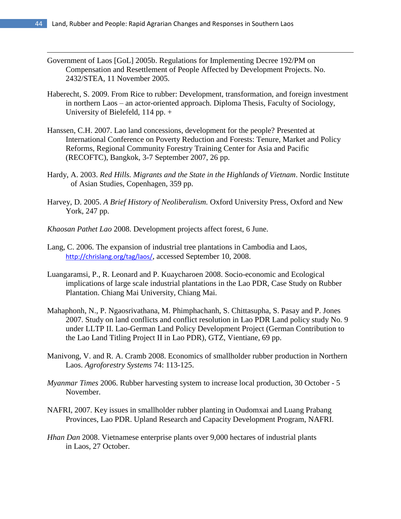- Government of Laos [GoL] 2005b. Regulations for Implementing Decree 192/PM on Compensation and Resettlement of People Affected by Development Projects. No. 2432/STEA, 11 November 2005.
- Haberecht, S. 2009. From Rice to rubber: Development, transformation, and foreign investment in northern Laos – an actor-oriented approach. Diploma Thesis, Faculty of Sociology, University of Bielefeld, 114 pp. +
- Hanssen, C.H. 2007. Lao land concessions, development for the people? Presented at International Conference on Poverty Reduction and Forests: Tenure, Market and Policy Reforms, Regional Community Forestry Training Center for Asia and Pacific (RECOFTC), Bangkok, 3-7 September 2007, 26 pp.
- Hardy, A. 2003. *Red Hills. Migrants and the State in the Highlands of Vietnam*. Nordic Institute of Asian Studies, Copenhagen, 359 pp.
- Harvey, D. 2005. *A Brief History of Neoliberalism.* Oxford University Press, Oxford and New York, 247 pp.
- *Khaosan Pathet Lao* 2008. Development projects affect forest, 6 June.
- Lang, C. 2006. The expansion of industrial tree plantations in Cambodia and Laos, <http://chrislang.org/tag/laos/>, accessed September 10, 2008.
- Luangaramsi, P., R. Leonard and P. Kuaycharoen 2008. Socio-economic and Ecological implications of large scale industrial plantations in the Lao PDR, Case Study on Rubber Plantation. Chiang Mai University, Chiang Mai.
- Mahaphonh, N., P. Ngaosrivathana, M. Phimphachanh, S. Chittasupha, S. Pasay and P. Jones 2007. Study on land conflicts and conflict resolution in Lao PDR Land policy study No. 9 under LLTP II. Lao-German Land Policy Development Project (German Contribution to the Lao Land Titling Project II in Lao PDR), GTZ, Vientiane, 69 pp.
- Manivong, V. and R. A. Cramb 2008. Economics of smallholder rubber production in Northern Laos. *Agroforestry Systems* 74: 113-125.
- *Myanmar Times* 2006. Rubber harvesting system to increase local production, 30 October 5 November.
- NAFRI, 2007. Key issues in smallholder rubber planting in Oudomxai and Luang Prabang Provinces, Lao PDR. Upland Research and Capacity Development Program, NAFRI.
- *Hhan Dan* 2008. Vietnamese enterprise plants over 9,000 hectares of industrial plants in Laos, 27 October.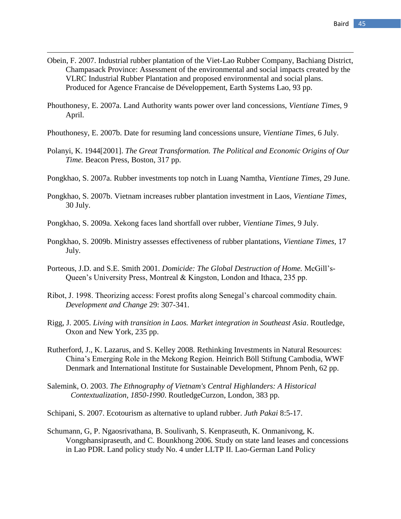Obein, F. 2007. Industrial rubber plantation of the Viet-Lao Rubber Company, Bachiang District, Champasack Province: Assessment of the environmental and social impacts created by the VLRC Industrial Rubber Plantation and proposed environmental and social plans. Produced for Agence Francaise de Développement, Earth Systems Lao, 93 pp.

- Phouthonesy, E. 2007a. Land Authority wants power over land concessions, *Vientiane Times,* 9 April.
- Phouthonesy, E. 2007b. Date for resuming land concessions unsure, *Vientiane Times*, 6 July.
- Polanyi, K. 1944[2001]. *The Great Transformation. The Political and Economic Origins of Our Time.* Beacon Press, Boston, 317 pp.
- Pongkhao, S. 2007a. Rubber investments top notch in Luang Namtha, *Vientiane Times*, 29 June.
- Pongkhao, S. 2007b. Vietnam increases rubber plantation investment in Laos, *Vientiane Times*, 30 July.
- Pongkhao, S. 2009a. Xekong faces land shortfall over rubber, *Vientiane Times*, 9 July.
- Pongkhao, S. 2009b. Ministry assesses effectiveness of rubber plantations, *Vientiane Times,* 17 July.
- Porteous, J.D. and S.E. Smith 2001. *Domicide: The Global Destruction of Home.* McGill"s-Queen"s University Press, Montreal & Kingston, London and Ithaca, 235 pp.
- Ribot, J. 1998. Theorizing access: Forest profits along Senegal"s charcoal commodity chain. *Development and Change* 29: 307-341.
- Rigg, J. 2005. *Living with transition in Laos. Market integration in Southeast Asia*. Routledge, Oxon and New York, 235 pp.
- Rutherford, J., K. Lazarus, and S. Kelley 2008. Rethinking Investments in Natural Resources: China"s Emerging Role in the Mekong Region. Heinrich Böll Stiftung Cambodia, WWF Denmark and International Institute for Sustainable Development, Phnom Penh, 62 pp.
- Salemink, O. 2003. *The Ethnography of Vietnam's Central Highlanders: A Historical Contextualization, 1850-1990*. RoutledgeCurzon, London, 383 pp.
- Schipani, S. 2007. Ecotourism as alternative to upland rubber. *Juth Pakai* 8:5-17.
- Schumann, G, P. Ngaosrivathana, B. Soulivanh, S. Kenpraseuth, K. Onmanivong, K. Vongphansipraseuth, and C. Bounkhong 2006. Study on state land leases and concessions in Lao PDR. Land policy study No. 4 under LLTP II. Lao-German Land Policy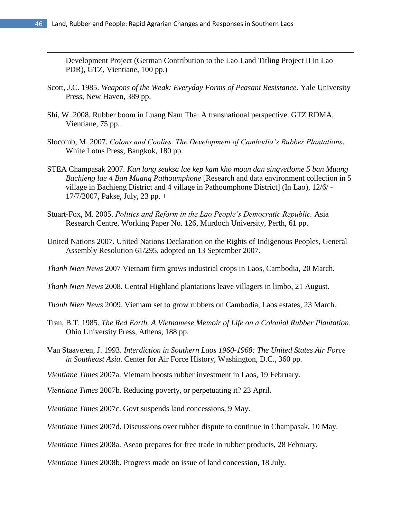$\overline{\phantom{a}}$ 

Development Project (German Contribution to the Lao Land Titling Project II in Lao PDR), GTZ, Vientiane, 100 pp.)

- Scott, J.C. 1985. *Weapons of the Weak: Everyday Forms of Peasant Resistance*. Yale University Press, New Haven, 389 pp.
- Shi, W. 2008. Rubber boom in Luang Nam Tha: A transnational perspective. GTZ RDMA, Vientiane, 75 pp.
- Slocomb, M. 2007. *Colons and Coolies. The Development of Cambodia's Rubber Plantations*. White Lotus Press, Bangkok, 180 pp.
- STEA Champasak 2007. *Kan long seuksa lae kep kam kho moun dan singvetlome 5 ban Muang Bachieng lae 4 Ban Muang Pathoumphone* [Research and data environment collection in 5 village in Bachieng District and 4 village in Pathoumphone District] (In Lao), 12/6/ - 17/7/2007, Pakse, July, 23 pp. +
- Stuart-Fox, M. 2005. *Politics and Reform in the Lao People's Democratic Republic.* Asia Research Centre, Working Paper No. 126, Murdoch University, Perth, 61 pp.
- United Nations 2007. United Nations Declaration on the Rights of Indigenous Peoples, General Assembly Resolution 61/295, adopted on 13 September 2007.
- *Thanh Nien News* 2007 Vietnam firm grows industrial crops in Laos, Cambodia, 20 March.
- *Thanh Nien News* 2008. Central Highland plantations leave villagers in limbo, 21 August.
- *Thanh Nien News* 2009. Vietnam set to grow rubbers on Cambodia, Laos estates, 23 March.
- Tran, B.T. 1985. *The Red Earth. A Vietnamese Memoir of Life on a Colonial Rubber Plantation*. Ohio University Press, Athens, 188 pp.
- Van Staaveren, J. 1993. *Interdiction in Southern Laos 1960-1968: The United States Air Force in Southeast Asia*. Center for Air Force History, Washington, D.C., 360 pp.
- *Vientiane Times* 2007a. Vietnam boosts rubber investment in Laos, 19 February.
- *Vientiane Times* 2007b. Reducing poverty, or perpetuating it? 23 April.
- *Vientiane Times* 2007c. Govt suspends land concessions, 9 May.
- *Vientiane Times* 2007d. Discussions over rubber dispute to continue in Champasak, 10 May.
- *Vientiane Times* 2008a. Asean prepares for free trade in rubber products, 28 February.

*Vientiane Times* 2008b. Progress made on issue of land concession, 18 July.